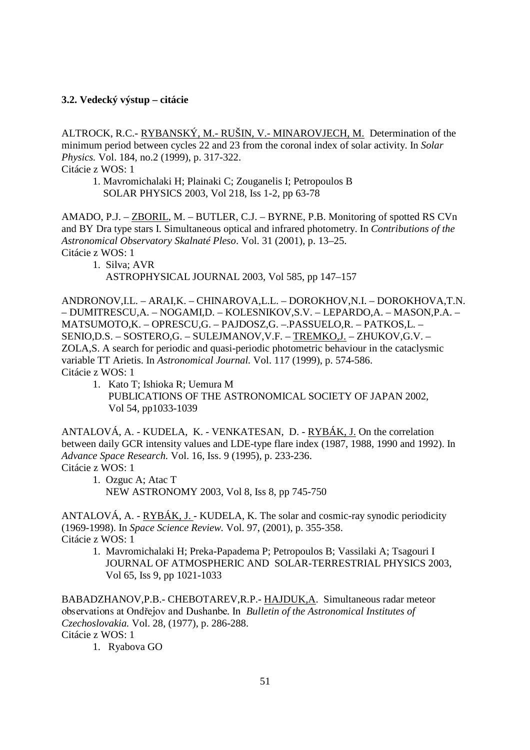# **3.2. Vedecký výstup – citácie**

ALTROCK, R.C.- RYBANSKÝ, M.- RUŠIN, V.- MINAROVJECH, M. Determination of the minimum period between cycles 22 and 23 from the coronal index of solar activity. In *Solar Physics.* Vol. 184, no.2 (1999), p. 317-322.

Citácie z WOS: 1

 1. Mavromichalaki H; Plainaki C; Zouganelis I; Petropoulos B SOLAR PHYSICS 2003, Vol 218, Iss 1-2, pp 63-78

AMADO, P.J. – ZBORIL, M. – BUTLER, C.J. – BYRNE, P.B. Monitoring of spotted RS CVn and BY Dra type stars I. Simultaneous optical and infrared photometry. In *Contributions of the Astronomical Observatory Skalnaté Pleso*. Vol. 31 (2001), p. 13–25. Citácie z WOS: 1

1. Silva; AVR

ASTROPHYSICAL JOURNAL 2003, Vol 585, pp 147–157

ANDRONOV,I.L. – ARAI,K. – CHINAROVA,L.L. – DOROKHOV,N.I. – DOROKHOVA,T.N. – DUMITRESCU,A. – NOGAMI,D. – KOLESNIKOV,S.V. – LEPARDO,A. – MASON,P.A. – MATSUMOTO,K. – OPRESCU,G. – PAJDOSZ,G. –.PASSUELO,R. – PATKOS,L. – SENIO,D.S. – SOSTERO,G. – SULEJMANOV,V.F. – TREMKO,J. – ZHUKOV,G.V. – ZOLA,S. A search for periodic and quasi-periodic photometric behaviour in the cataclysmic variable TT Arietis. In *Astronomical Journal.* Vol. 117 (1999), p. 574-586. Citácie z WOS: 1

1. Kato T; Ishioka R; Uemura M PUBLICATIONS OF THE ASTRONOMICAL SOCIETY OF JAPAN 2002, Vol 54, pp1033-1039

ANTALOVÁ, A. - KUDELA, K. - VENKATESAN, D. - RYBÁK, J. On the correlation between daily GCR intensity values and LDE-type flare index (1987, 1988, 1990 and 1992). In *Advance Space Research.* Vol. 16, Iss. 9 (1995), p. 233-236. Citácie z WOS: 1

 1. Ozguc A; Atac T NEW ASTRONOMY 2003, Vol 8, Iss 8, pp 745-750

ANTALOVÁ, A. - RYBÁK, J. - KUDELA, K. The solar and cosmic-ray synodic periodicity (1969-1998). In *Space Science Review.* Vol. 97, (2001), p. 355-358. Citácie z WOS: 1

 1. Mavromichalaki H; Preka-Papadema P; Petropoulos B; Vassilaki A; Tsagouri I JOURNAL OF ATMOSPHERIC AND SOLAR-TERRESTRIAL PHYSICS 2003, Vol 65, Iss 9, pp 1021-1033

BABADZHANOV,P.B.- CHEBOTAREV,R.P.- HAJDUK,A. Simultaneous radar meteor observations at Ondřejov and Dushanbe. In *Bulletin of the Astronomical Institutes of Czechoslovakia.* Vol. 28, (1977), p. 286-288. Citácie z WOS: 1

1. Ryabova GO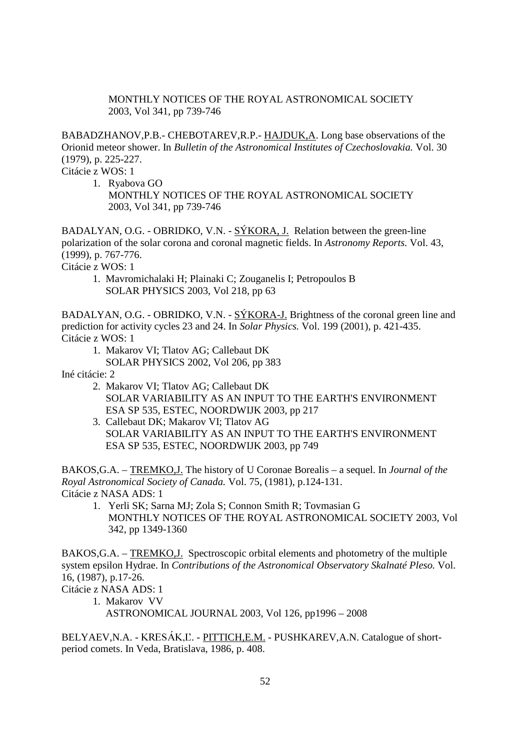MONTHLY NOTICES OF THE ROYAL ASTRONOMICAL SOCIETY 2003, Vol 341, pp 739-746

BABADZHANOV,P.B.- CHEBOTAREV,R.P.- HAJDUK,A. Long base observations of the Orionid meteor shower. In *Bulletin of the Astronomical Institutes of Czechoslovakia.* Vol. 30 (1979), p. 225-227.

Citácie z WOS: 1

1. Ryabova GO

 MONTHLY NOTICES OF THE ROYAL ASTRONOMICAL SOCIETY 2003, Vol 341, pp 739-746

BADALYAN, O.G. - OBRIDKO, V.N. - SÝKORA, J. Relation between the green-line polarization of the solar corona and coronal magnetic fields. In *Astronomy Reports.* Vol. 43, (1999), p. 767-776.

Citácie z WOS: 1

 1. Mavromichalaki H; Plainaki C; Zouganelis I; Petropoulos B SOLAR PHYSICS 2003, Vol 218, pp 63

BADALYAN, O.G. - OBRIDKO, V.N. - SÝKORA-J. Brightness of the coronal green line and prediction for activity cycles 23 and 24. In *Solar Physics.* Vol. 199 (2001), p. 421-435. Citácie z WOS: 1

1. Makarov VI; Tlatov AG; Callebaut DK

SOLAR PHYSICS 2002, Vol 206, pp 383

Iné citácie: 2

- 2. Makarov VI; Tlatov AG; Callebaut DK SOLAR VARIABILITY AS AN INPUT TO THE EARTH'S ENVIRONMENT ESA SP 535, ESTEC, NOORDWIJK 2003, pp 217
- 3. Callebaut DK; Makarov VI; Tlatov AG SOLAR VARIABILITY AS AN INPUT TO THE EARTH'S ENVIRONMENT ESA SP 535, ESTEC, NOORDWIJK 2003, pp 749

BAKOS,G.A. – TREMKO,J. The history of U Coronae Borealis – a sequel. In *Journal of the Royal Astronomical Society of Canada.* Vol. 75, (1981), p.124-131. Citácie z NASA ADS: 1

 1. Yerli SK; Sarna MJ; Zola S; Connon Smith R; Tovmasian G MONTHLY NOTICES OF THE ROYAL ASTRONOMICAL SOCIETY 2003, Vol 342, pp 1349-1360

BAKOS,G.A. – TREMKO,J. Spectroscopic orbital elements and photometry of the multiple system epsilon Hydrae. In *Contributions of the Astronomical Observatory Skalnaté Pleso.* Vol. 16, (1987), p.17-26.

Citácie z NASA ADS: 1

1. Makarov VV

ASTRONOMICAL JOURNAL 2003, Vol 126, pp1996 – 2008

BELYAEV, N.A. - KRESÁK, L'. - PITTICH, E.M. - PUSHKAREV, A.N. Catalogue of shortperiod comets. In Veda, Bratislava, 1986, p. 408.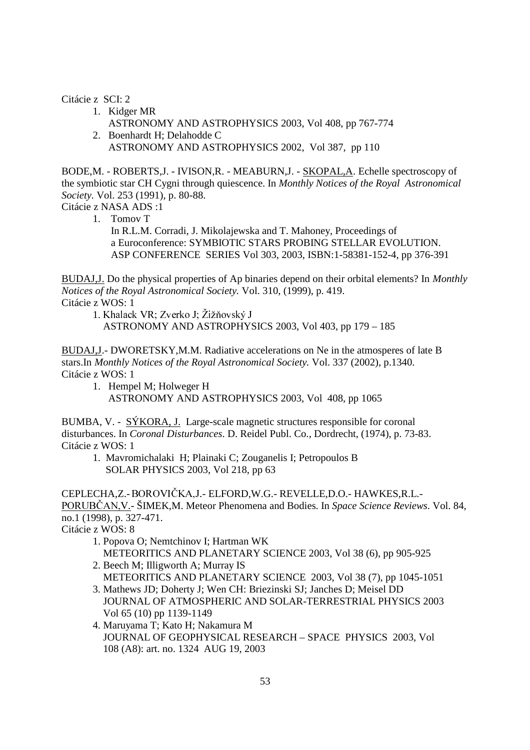Citácie z SCI: 2

- 1. Kidger MR
	- ASTRONOMY AND ASTROPHYSICS 2003, Vol 408, pp 767-774
- 2. Boenhardt H; Delahodde C ASTRONOMY AND ASTROPHYSICS 2002, Vol 387, pp 110

BODE,M. - ROBERTS,J. - IVISON,R. - MEABURN,J. - SKOPAL,A. Echelle spectroscopy of the symbiotic star CH Cygni through quiescence. In *Monthly Notices of the Royal Astronomical Society.* Vol. 253 (1991), p. 80-88.

Citácie z NASA ADS :1

 1. Tomov T In R.L.M. Corradi, J. Mikolajewska and T. Mahoney, Proceedings of a Euroconference: SYMBIOTIC STARS PROBING STELLAR EVOLUTION. ASP CONFERENCE SERIES Vol 303, 2003, ISBN:1-58381-152-4, pp 376-391

BUDAJ,J. Do the physical properties of Ap binaries depend on their orbital elements? In *Monthly Notices of the Royal Astronomical Society.* Vol. 310, (1999), p. 419. Citácie z WOS: 1

1. Khalack VR; Zverko J; Žižňovský J

ASTRONOMY AND ASTROPHYSICS 2003, Vol 403, pp 179 – 185

BUDAJ,J.- DWORETSKY,M.M. Radiative accelerations on Ne in the atmosperes of late B stars.In *Monthly Notices of the Royal Astronomical Society.* Vol. 337 (2002), p.1340. Citácie z WOS: 1

1. Hempel M; Holweger H ASTRONOMY AND ASTROPHYSICS 2003, Vol 408, pp 1065

BUMBA, V. - SÝKORA, J. Large-scale magnetic structures responsible for coronal disturbances. In *Coronal Disturbances*. D. Reidel Publ. Co., Dordrecht, (1974), p. 73-83. Citácie z WOS: 1

 1. Mavromichalaki H; Plainaki C; Zouganelis I; Petropoulos B SOLAR PHYSICS 2003, Vol 218, pp 63

CEPLECHA, Z. - BOROVIČKA, J. - ELFORD, W.G. - REVELLE, D.O. - HAWKES, R.L. -PORUBČAN, V. - ŠIMEK, M. Meteor Phenomena and Bodies. In *Space Science Reviews*. Vol. 84, no.1 (1998), p. 327-471.

Citácie z WOS: 8

- 1. Popova O; Nemtchinov I; Hartman WK METEORITICS AND PLANETARY SCIENCE 2003, Vol 38 (6), pp 905-925
- 2. Beech M; Illigworth A; Murray IS METEORITICS AND PLANETARY SCIENCE 2003, Vol 38 (7), pp 1045-1051
- 3. Mathews JD; Doherty J; Wen CH: Briezinski SJ; Janches D; Meisel DD JOURNAL OF ATMOSPHERIC AND SOLAR-TERRESTRIAL PHYSICS 2003 Vol 65 (10) pp 1139-1149
- 4. Maruyama T; Kato H; Nakamura M JOURNAL OF GEOPHYSICAL RESEARCH – SPACE PHYSICS 2003, Vol 108 (A8): art. no. 1324 AUG 19, 2003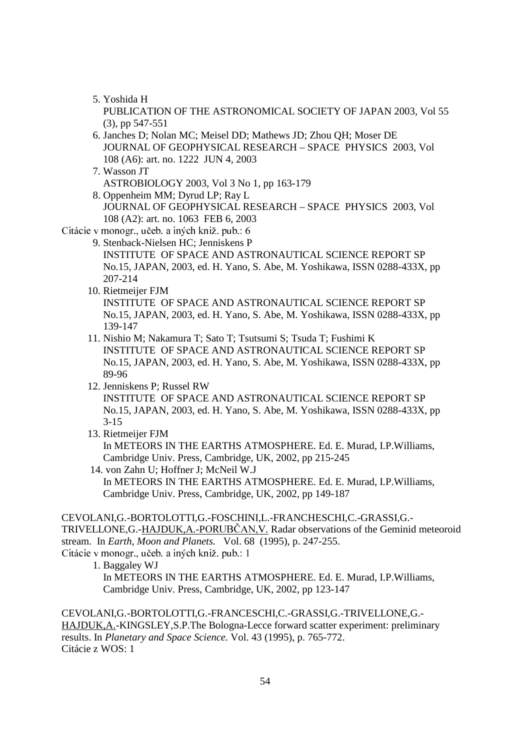5. Yoshida H

 PUBLICATION OF THE ASTRONOMICAL SOCIETY OF JAPAN 2003, Vol 55 (3), pp 547-551

- 6. Janches D; Nolan MC; Meisel DD; Mathews JD; Zhou QH; Moser DE JOURNAL OF GEOPHYSICAL RESEARCH – SPACE PHYSICS 2003, Vol 108 (A6): art. no. 1222 JUN 4, 2003
- 7. Wasson JT ASTROBIOLOGY 2003, Vol 3 No 1, pp 163-179
- 8. Oppenheim MM; Dyrud LP; Ray L JOURNAL OF GEOPHYSICAL RESEARCH – SPACE PHYSICS 2003, Vol 108 (A2): art. no. 1063 FEB 6, 2003
- Citácie v monogr., učeb. a iných kniž. pub.: 6

 9. Stenback-Nielsen HC; Jenniskens P INSTITUTE OF SPACE AND ASTRONAUTICAL SCIENCE REPORT SP No.15, JAPAN, 2003, ed. H. Yano, S. Abe, M. Yoshikawa, ISSN 0288-433X, pp 207-214

10. Rietmeijer FJM

 INSTITUTE OF SPACE AND ASTRONAUTICAL SCIENCE REPORT SP No.15, JAPAN, 2003, ed. H. Yano, S. Abe, M. Yoshikawa, ISSN 0288-433X, pp 139-147

- 11. Nishio M; Nakamura T; Sato T; Tsutsumi S; Tsuda T; Fushimi K INSTITUTE OF SPACE AND ASTRONAUTICAL SCIENCE REPORT SP No.15, JAPAN, 2003, ed. H. Yano, S. Abe, M. Yoshikawa, ISSN 0288-433X, pp 89-96
- 12. Jenniskens P; Russel RW

 INSTITUTE OF SPACE AND ASTRONAUTICAL SCIENCE REPORT SP No.15, JAPAN, 2003, ed. H. Yano, S. Abe, M. Yoshikawa, ISSN 0288-433X, pp 3-15

13. Rietmeijer FJM

 In METEORS IN THE EARTHS ATMOSPHERE. Ed. E. Murad, I.P.Williams, Cambridge Univ. Press, Cambridge, UK, 2002, pp 215-245

 14. von Zahn U; Hoffner J; McNeil W.J In METEORS IN THE EARTHS ATMOSPHERE. Ed. E. Murad, I.P.Williams, Cambridge Univ. Press, Cambridge, UK, 2002, pp 149-187

#### CEVOLANI,G.-BORTOLOTTI,G.-FOSCHINI,L.-FRANCHESCHI,C.-GRASSI,G.-

TRIVELLONE, G.-HAJDUK, A.-PORUBČAN, V. Radar observations of the Geminid meteoroid stream. In *Earth, Moon and Planets.* Vol. 68 (1995), p. 247-255. Citácie v monogr., učeb. a iných kniž. pub.: 1

1. Baggaley WJ

 In METEORS IN THE EARTHS ATMOSPHERE. Ed. E. Murad, I.P.Williams, Cambridge Univ. Press, Cambridge, UK, 2002, pp 123-147

CEVOLANI,G.-BORTOLOTTI,G.-FRANCESCHI,C.-GRASSI,G.-TRIVELLONE,G.- HAJDUK,A.-KINGSLEY,S.P.The Bologna-Lecce forward scatter experiment: preliminary results. In *Planetary and Space Science.* Vol. 43 (1995), p. 765-772. Citácie z WOS: 1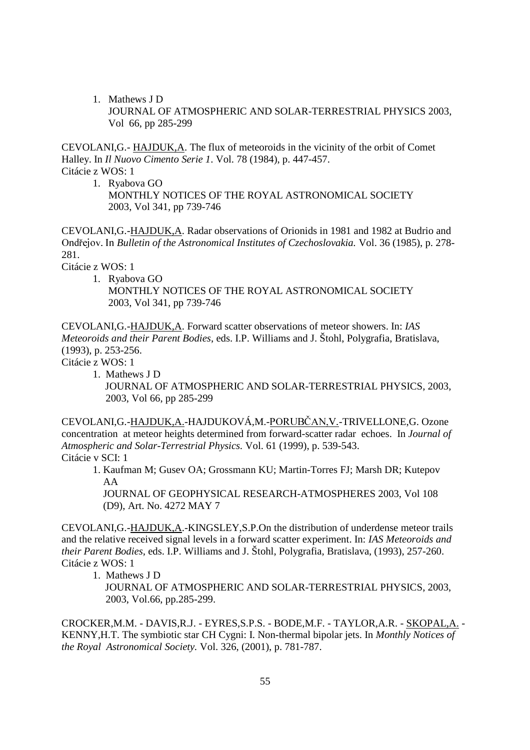1. Mathews J D JOURNAL OF ATMOSPHERIC AND SOLAR-TERRESTRIAL PHYSICS 2003, Vol 66, pp 285-299

CEVOLANI,G.- HAJDUK,A. The flux of meteoroids in the vicinity of the orbit of Comet Halley. In *Il Nuovo Cimento Serie 1*. Vol. 78 (1984), p. 447-457. Citácie z WOS: 1

1. Ryabova GO

 MONTHLY NOTICES OF THE ROYAL ASTRONOMICAL SOCIETY 2003, Vol 341, pp 739-746

CEVOLANI,G.-HAJDUK,A. Radar observations of Orionids in 1981 and 1982 at Budrio and Ondřejov. In Bulletin of the Astronomical Institutes of Czechoslovakia. Vol. 36 (1985), p. 278-281.

Citácie z WOS: 1

1. Ryabova GO

 MONTHLY NOTICES OF THE ROYAL ASTRONOMICAL SOCIETY 2003, Vol 341, pp 739-746

CEVOLANI,G.-HAJDUK,A. Forward scatter observations of meteor showers. In: *IAS Meteoroids and their Parent Bodies*, eds. I.P. Williams and J. Štohl, Polygrafia, Bratislava, (1993), p. 253-256.

Citácie z WOS: 1

 1. Mathews J D JOURNAL OF ATMOSPHERIC AND SOLAR-TERRESTRIAL PHYSICS, 2003, 2003, Vol 66, pp 285-299

CEVOLANI,G.-<u>HAJDUK,A.</u>-HAJDUKOVÁ,M.-<u>PORUBČAN,V.</u>-TRIVELLONE,G. Ozone concentration at meteor heights determined from forward-scatter radar echoes. In *Journal of Atmospheric and Solar-Terrestrial Physics.* Vol. 61 (1999), p. 539-543. Citácie v SCI: 1

 1. Kaufman M; Gusev OA; Grossmann KU; Martin-Torres FJ; Marsh DR; Kutepov AA

 JOURNAL OF GEOPHYSICAL RESEARCH-ATMOSPHERES 2003, Vol 108 (D9), Art. No. 4272 MAY 7

CEVOLANI,G.-HAJDUK,A.-KINGSLEY,S.P.On the distribution of underdense meteor trails and the relative received signal levels in a forward scatter experiment. In: *IAS Meteoroids and their Parent Bodies*, eds. I.P. Williams and J. Štohl, Polygrafia, Bratislava, (1993), 257-260. Citácie z WOS: 1

1. Mathews J D

 JOURNAL OF ATMOSPHERIC AND SOLAR-TERRESTRIAL PHYSICS, 2003, 2003, Vol.66, pp.285-299.

CROCKER,M.M. - DAVIS,R.J. - EYRES,S.P.S. - BODE,M.F. - TAYLOR,A.R. - SKOPAL,A. - KENNY,H.T. The symbiotic star CH Cygni: I. Non-thermal bipolar jets. In *Monthly Notices of the Royal Astronomical Society.* Vol. 326, (2001), p. 781-787.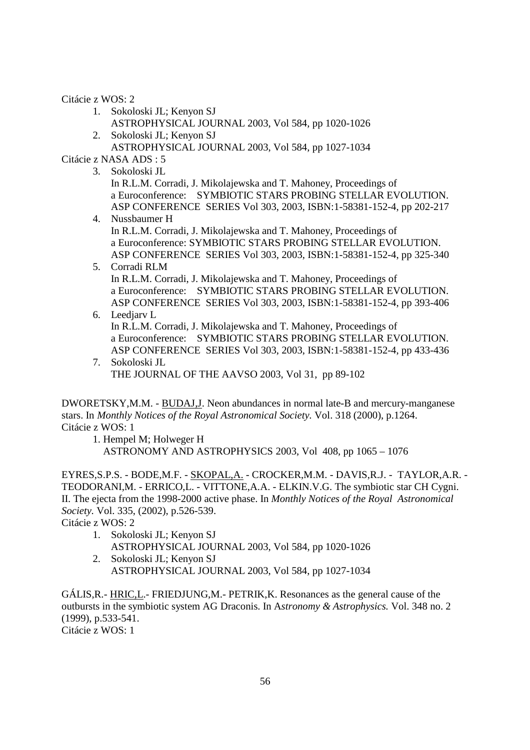Citácie z WOS: 2

- 1. Sokoloski JL; Kenyon SJ
- ASTROPHYSICAL JOURNAL 2003, Vol 584, pp 1020-1026 2. Sokoloski JL; Kenyon SJ

ASTROPHYSICAL JOURNAL 2003, Vol 584, pp 1027-1034

Citácie z NASA ADS : 5

3. Sokoloski JL

 In R.L.M. Corradi, J. Mikolajewska and T. Mahoney, Proceedings of a Euroconference: SYMBIOTIC STARS PROBING STELLAR EVOLUTION. ASP CONFERENCE SERIES Vol 303, 2003, ISBN:1-58381-152-4, pp 202-217

- 4. Nussbaumer H In R.L.M. Corradi, J. Mikolajewska and T. Mahoney, Proceedings of a Euroconference: SYMBIOTIC STARS PROBING STELLAR EVOLUTION. ASP CONFERENCE SERIES Vol 303, 2003, ISBN:1-58381-152-4, pp 325-340
- 5. Corradi RLM In R.L.M. Corradi, J. Mikolajewska and T. Mahoney, Proceedings of a Euroconference: SYMBIOTIC STARS PROBING STELLAR EVOLUTION. ASP CONFERENCE SERIES Vol 303, 2003, ISBN:1-58381-152-4, pp 393-406
- 6. Leedjarv L

 In R.L.M. Corradi, J. Mikolajewska and T. Mahoney, Proceedings of a Euroconference: SYMBIOTIC STARS PROBING STELLAR EVOLUTION. ASP CONFERENCE SERIES Vol 303, 2003, ISBN:1-58381-152-4, pp 433-436

 7. Sokoloski JL THE JOURNAL OF THE AAVSO 2003, Vol 31, pp 89-102

DWORETSKY,M.M. - BUDAJ,J. Neon abundances in normal late-B and mercury-manganese stars. In *Monthly Notices of the Royal Astronomical Society.* Vol. 318 (2000), p.1264. Citácie z WOS: 1

1. Hempel M; Holweger H

ASTRONOMY AND ASTROPHYSICS 2003, Vol 408, pp 1065 – 1076

EYRES,S.P.S. - BODE,M.F. - SKOPAL,A. - CROCKER,M.M. - DAVIS,R.J. - TAYLOR,A.R. - TEODORANI,M. - ERRICO,L. - VITTONE,A.A. - ELKIN.V.G. The symbiotic star CH Cygni. II. The ejecta from the 1998-2000 active phase. In *Monthly Notices of the Royal Astronomical Society.* Vol. 335, (2002), p.526-539.

Citácie z WOS: 2

- 1. Sokoloski JL; Kenyon SJ ASTROPHYSICAL JOURNAL 2003, Vol 584, pp 1020-1026
- 2. Sokoloski JL; Kenyon SJ ASTROPHYSICAL JOURNAL 2003, Vol 584, pp 1027-1034

GÁLIS,R.- HRIC,L.- FRIEDJUNG,M.- PETRIK,K. Resonances as the general cause of the outbursts in the symbiotic system AG Draconis. In A*stronomy & Astrophysics.* Vol. 348 no. 2 (1999), p.533-541.

Citácie z WOS: 1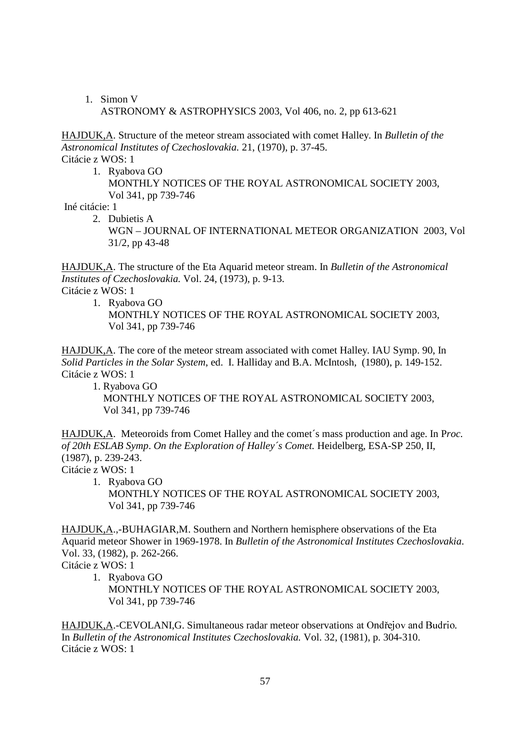1. Simon V ASTRONOMY & ASTROPHYSICS 2003, Vol 406, no. 2, pp 613-621

HAJDUK,A. Structure of the meteor stream associated with comet Halley. In *Bulletin of the Astronomical Institutes of Czechoslovakia.* 21, (1970), p. 37-45. Citácie z WOS: 1

 1. Ryabova GO MONTHLY NOTICES OF THE ROYAL ASTRONOMICAL SOCIETY 2003, Vol 341, pp 739-746

Iné citácie: 1

2. Dubietis A

 WGN – JOURNAL OF INTERNATIONAL METEOR ORGANIZATION 2003, Vol 31/2, pp 43-48

HAJDUK,A. The structure of the Eta Aquarid meteor stream. In *Bulletin of the Astronomical Institutes of Czechoslovakia.* Vol. 24, (1973), p. 9-13.

Citácie z WOS: 1

 1. Ryabova GO MONTHLY NOTICES OF THE ROYAL ASTRONOMICAL SOCIETY 2003, Vol 341, pp 739-746

HAJDUK,A. The core of the meteor stream associated with comet Halley. IAU Symp. 90, In *Solid Particles in the Solar System*, ed. I. Halliday and B.A. McIntosh, (1980), p. 149-152. Citácie z WOS: 1

 1. Ryabova GO MONTHLY NOTICES OF THE ROYAL ASTRONOMICAL SOCIETY 2003, Vol 341, pp 739-746

HAJDUK,A. Meteoroids from Comet Halley and the comet´s mass production and age. In P*roc. of 20th ESLAB Symp*. *On the Exploration of Halley´s Comet.* Heidelberg, ESA-SP 250, II, (1987), p. 239-243.

Citácie z WOS: 1

 1. Ryabova GO MONTHLY NOTICES OF THE ROYAL ASTRONOMICAL SOCIETY 2003, Vol 341, pp 739-746

HAJDUK,A.,-BUHAGIAR,M. Southern and Northern hemisphere observations of the Eta Aquarid meteor Shower in 1969-1978. In *Bulletin of the Astronomical Institutes Czechoslovakia*. Vol. 33, (1982), p. 262-266.

Citácie z WOS: 1

 1. Ryabova GO MONTHLY NOTICES OF THE ROYAL ASTRONOMICAL SOCIETY 2003, Vol 341, pp 739-746

HAJDUK,A.-CEVOLANI,G. Simultaneous radar meteor observations at Ondřejov and Budrio. In *Bulletin of the Astronomical Institutes Czechoslovakia.* Vol. 32, (1981), p. 304-310. Citácie z WOS: 1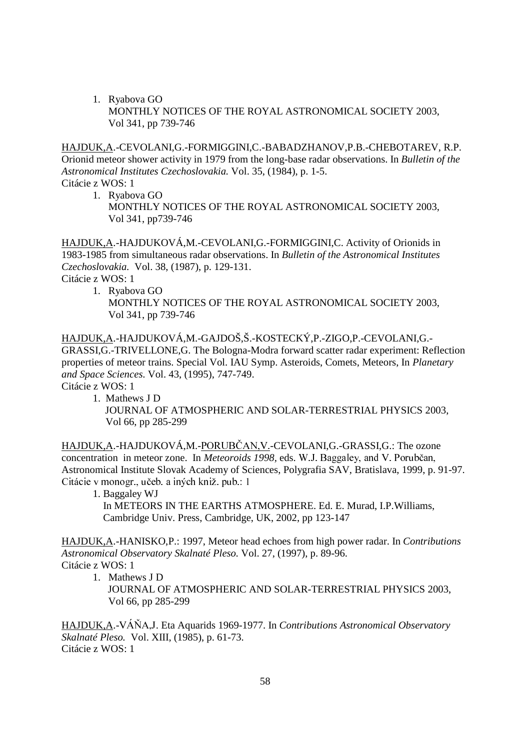1. Ryabova GO MONTHLY NOTICES OF THE ROYAL ASTRONOMICAL SOCIETY 2003, Vol 341, pp 739-746

HAJDUK,A.-CEVOLANI,G.-FORMIGGINI,C.-BABADZHANOV,P.B.-CHEBOTAREV, R.P. Orionid meteor shower activity in 1979 from the long-base radar observations. In *Bulletin of the Astronomical Institutes Czechoslovakia.* Vol. 35, (1984), p. 1-5. Citácie z WOS: 1

- 1. Ryabova GO
	- MONTHLY NOTICES OF THE ROYAL ASTRONOMICAL SOCIETY 2003, Vol 341, pp739-746

HAJDUK,A.-HAJDUKOVÁ,M.-CEVOLANI,G.-FORMIGGINI,C. Activity of Orionids in 1983-1985 from simultaneous radar observations. In *Bulletin of the Astronomical Institutes Czechosl*o*vakia.* Vol. 38, (1987), p. 129-131.

Citácie z WOS: 1

 1. Ryabova GO MONTHLY NOTICES OF THE ROYAL ASTRONOMICAL SOCIETY 2003, Vol 341, pp 739-746

HAJDUK,A.-HAJDUKOVÁ,M.-GAJDOŠ,Š.-KOSTECKÝ,P.-ZIGO,P.-CEVOLANI,G.- GRASSI,G.-TRIVELLONE,G. The Bologna-Modra forward scatter radar experiment: Reflection properties of meteor trains. Special Vol. IAU Symp. Asteroids, Comets, Meteors, In *Planetary and Space Sciences*. Vol. 43, (1995), 747-749. Citácie z WOS: 1

1. Mathews J D

 JOURNAL OF ATMOSPHERIC AND SOLAR-TERRESTRIAL PHYSICS 2003, Vol 66, pp 285-299

<u>HAJDUK,A</u>.-HAJDUKOVÁ,M.-<u>PORUBČAN,V.</u>-CEVOLANI,G.-GRASSI,G.: The ozone concentration in meteor zone. In *Meteoroids 1998,* eds.  Astronomical Institute Slovak Academy of Sciences, Polygrafia SAV, Bratislava, 1999, p. 91-97. Citácie v monogr., učeb. a iných kniž. pub.: 1

1. Baggaley WJ

 In METEORS IN THE EARTHS ATMOSPHERE. Ed. E. Murad, I.P.Williams, Cambridge Univ. Press, Cambridge, UK, 2002, pp 123-147

HAJDUK,A.-HANISKO,P.: 1997, Meteor head echoes from high power radar. In *Contributions Astronomical Observatory Skalnaté Pleso.* Vol. 27, (1997), p. 89-96. Citácie z WOS: 1

1. Mathews J D

 JOURNAL OF ATMOSPHERIC AND SOLAR-TERRESTRIAL PHYSICS 2003, Vol 66, pp 285-299

HAJDUK,A.- (. Eta Aquarids 1969-1977. In *Contributions Astronomical Observatory Skalnaté Pleso.* Vol. XIII, (1985), p. 61-73. Citácie z WOS: 1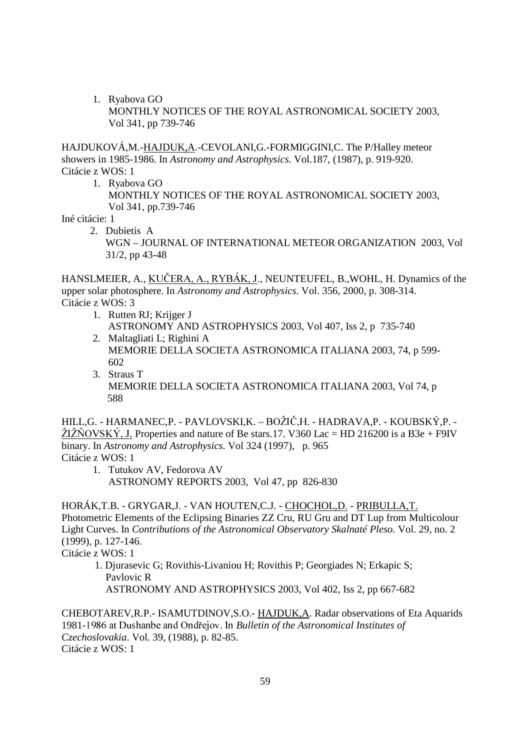1. Ryabova GO MONTHLY NOTICES OF THE ROYAL ASTRONOMICAL SOCIETY 2003, Vol 341, pp 739-746

HAJDUKOVÁ,M.-HAJDUK,A.-CEVOLANI,G.-FORMIGGINI,C. The P/Halley meteor showers in 1985-1986. In *Astronomy and Astrophysics*. Vol.187, (1987), p. 919-920. Citácie z WOS: 1

1. Ryabova GO

 MONTHLY NOTICES OF THE ROYAL ASTRONOMICAL SOCIETY 2003, Vol 341, pp.739-746

Iné citácie: 1

 2. Dubietis A WGN – JOURNAL OF INTERNATIONAL METEOR ORGANIZATION 2003, Vol 31/2, pp 43-48

HANSLMEIER, A., KUČERA, A., RYBÁK, J., NEUNTEUFEL, B., WOHL, H. Dynamics of the upper solar photosphere. In *Astronomy and Astrophysics*. Vol. 356, 2000, p. 308-314. Citácie z WOS: 3

- 1. Rutten RJ; Krijger J ASTRONOMY AND ASTROPHYSICS 2003, Vol 407, Iss 2, p 735-740
- 2. Maltagliati L; Righini A MEMORIE DELLA SOCIETA ASTRONOMICA ITALIANA 2003, 74, p 599- 602
- 3. Straus T MEMORIE DELLA SOCIETA ASTRONOMICA ITALIANA 2003, Vol 74, p 588

HILL,G. - HARMANEC,P. - PAVLOVSKI,K. – BOŽIČ,H. - HADRAVA,P. - KOUBSKÝ,P. - $\angle ZI\angle NOVSK\angle Y$ , J. Properties and nature of Be stars.17. V360 Lac = HD 216200 is a B3e + F9IV binary. In *Astronomy and Astrophysics.* Vol 324 (1997), p. 965 Citácie z WOS: 1

 1. Tutukov AV, Fedorova AV ASTRONOMY REPORTS 2003, Vol 47, pp 826-830

HORÁK,T.B. - GRYGAR,J. - VAN HOUTEN,C.J. - CHOCHOL,D. - PRIBULLA,T. Photometric Elements of the Eclipsing Binaries ZZ Cru, RU Gru and DT Lup from Multicolour Light Curves. In *Contributions of the Astronomical Observatory Skalnaté Pleso.* Vol. 29, no. 2 (1999), p. 127-146.

Citácie z WOS: 1

 1. Djurasevic G; Rovithis-Livaniou H; Rovithis P; Georgiades N; Erkapic S; Pavlovic R ASTRONOMY AND ASTROPHYSICS 2003, Vol 402, Iss 2, pp 667-682

CHEBOTAREV,R.P.- ISAMUTDINOV,S.O.- HAJDUK,A. Radar observations of Eta Aquarids 1981-1986 at Dushanbe and Ondřejov. In Bulletin of the Astronomical Institutes of *Czechoslovakia*. Vol. 39, (1988), p. 82-85. Citácie z WOS: 1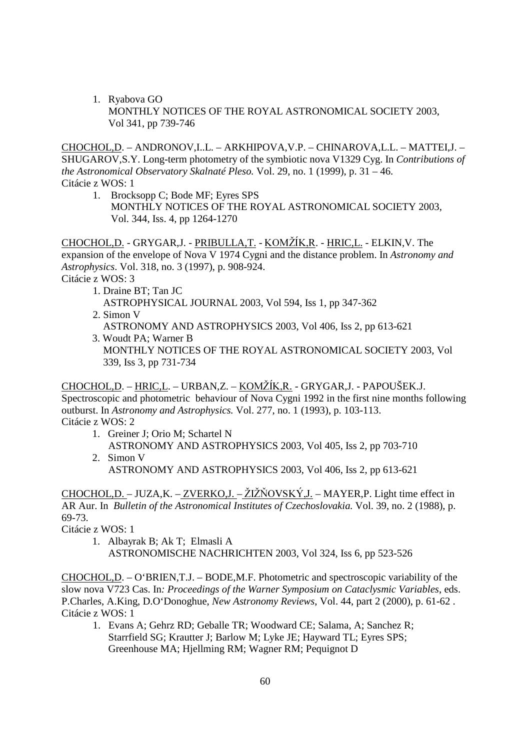1. Ryabova GO MONTHLY NOTICES OF THE ROYAL ASTRONOMICAL SOCIETY 2003, Vol 341, pp 739-746

CHOCHOL,D. – ANDRONOV,I..L. – ARKHIPOVA,V.P. – CHINAROVA,L.L. – MATTEI,J. – SHUGAROV,S.Y. Long-term photometry of the symbiotic nova V1329 Cyg. In *Contributions of the Astronomical Observatory Skalnaté Pleso.* Vol. 29, no. 1 (1999), p. 31 – 46. Citácie z WOS: 1

1. Brocksopp C; Bode MF; Eyres SPS

 MONTHLY NOTICES OF THE ROYAL ASTRONOMICAL SOCIETY 2003, Vol. 344, Iss. 4, pp 1264-1270

<u>CHOCHOL,D.</u> - GRYGAR,J. - <u>PRIBULLA,T.</u> - <u>KOMŽÍK,R</u>. - <u>HRIC,L.</u> - ELKIN,V. The expansion of the envelope of Nova V 1974 Cygni and the distance problem. In *Astronomy and Astrophysics*. Vol. 318, no. 3 (1997), p. 908-924.

Citácie z WOS: 3

- 1. Draine BT; Tan JC ASTROPHYSICAL JOURNAL 2003, Vol 594, Iss 1, pp 347-362
- 2. Simon V

ASTRONOMY AND ASTROPHYSICS 2003, Vol 406, Iss 2, pp 613-621

3. Woudt PA; Warner B MONTHLY NOTICES OF THE ROYAL ASTRONOMICAL SOCIETY 2003, Vol 339, Iss 3, pp 731-734

# <u>CHOCHOL,D</u>. – <u>HRIC,L</u>. – URBAN,Z. – <u>KOMŽÍK,R.</u> - GRYGAR,J. - PAPOUŠEK.J. Spectroscopic and photometric behaviour of Nova Cygni 1992 in the first nine months following

outburst. In *Astronomy and Astrophysics.* Vol. 277, no. 1 (1993), p. 103-113. Citácie z WOS: 2

1. Greiner J; Orio M; Schartel N ASTRONOMY AND ASTROPHYSICS 2003, Vol 405, Iss 2, pp 703-710 2. Simon V

ASTRONOMY AND ASTROPHYSICS 2003, Vol 406, Iss 2, pp 613-621

 $CHOCHOL, D. - JUZA, K. - ZVERKO, J. - ŽIŽÑOVSKÝ, J. - MAYER, P. Light time effect in$ AR Aur. In *Bulletin of the Astronomical Institutes of Czechoslovakia.* Vol. 39, no. 2 (1988), p. 69-73.

Citácie z WOS: 1

1. Albayrak B; Ak T; Elmasli A

ASTRONOMISCHE NACHRICHTEN 2003, Vol 324, Iss 6, pp 523-526

CHOCHOL,D. – O'BRIEN,T.J. – BODE,M.F. Photometric and spectroscopic variability of the slow nova V723 Cas. In*: Proceedings of the Warner Symposium on Cataclysmic Variables*, eds. P.Charles, A.King, D.O'Donoghue, *New Astronomy Reviews*, Vol. 44, part 2 (2000), p. 61-62 . Citácie z WOS: 1

1. Evans A; Gehrz RD; Geballe TR; Woodward CE; Salama, A; Sanchez R; Starrfield SG; Krautter J; Barlow M; Lyke JE; Hayward TL; Eyres SPS; Greenhouse MA; Hjellming RM; Wagner RM; Pequignot D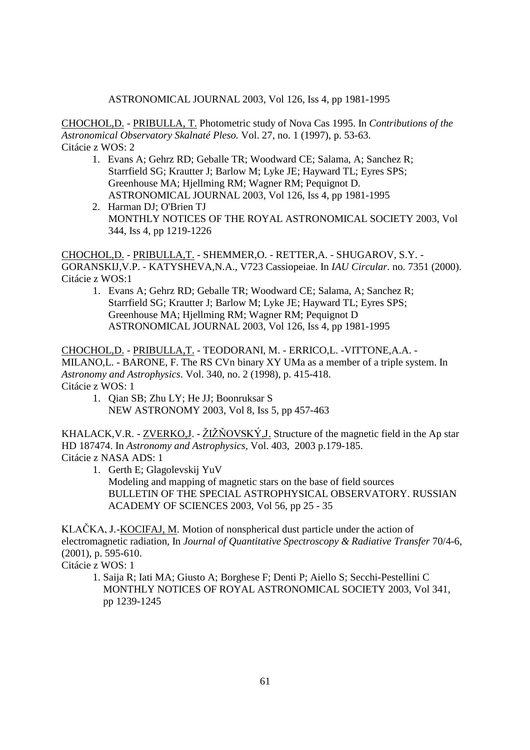#### ASTRONOMICAL JOURNAL 2003, Vol 126, Iss 4, pp 1981-1995

CHOCHOL,D. - PRIBULLA, T. Photometric study of Nova Cas 1995. In *Contributions of the Astronomical Observatory Skalnaté Pleso.* Vol. 27, no. 1 (1997), p. 53-63. Citácie z WOS: 2

- 1. Evans A; Gehrz RD; Geballe TR; Woodward CE; Salama, A; Sanchez R; Starrfield SG; Krautter J; Barlow M; Lyke JE; Hayward TL; Eyres SPS; Greenhouse MA; Hjellming RM; Wagner RM; Pequignot D. ASTRONOMICAL JOURNAL 2003, Vol 126, Iss 4, pp 1981-1995
- 2. Harman DJ; O'Brien TJ MONTHLY NOTICES OF THE ROYAL ASTRONOMICAL SOCIETY 2003, Vol 344, Iss 4, pp 1219-1226

CHOCHOL,D. - PRIBULLA,T. - SHEMMER,O. - RETTER,A. - SHUGAROV, S.Y. - GORANSKIJ,V.P. - KATYSHEVA,N.A., V723 Cassiopeiae. In *IAU Circular.* no. 7351 (2000). Citácie z WOS:1

1. Evans A; Gehrz RD; Geballe TR; Woodward CE; Salama, A; Sanchez R; Starrfield SG; Krautter J; Barlow M; Lyke JE; Hayward TL; Eyres SPS; Greenhouse MA; Hjellming RM; Wagner RM; Pequignot D ASTRONOMICAL JOURNAL 2003, Vol 126, Iss 4, pp 1981-1995

CHOCHOL,D. - PRIBULLA,T. - TEODORANI, M. - ERRICO,L. -VITTONE,A.A. - MILANO,L. - BARONE, F. The RS CVn binary XY UMa as a member of a triple system. In *Astronomy and Astrophysics*. Vol. 340, no. 2 (1998), p. 415-418. Citácie z WOS: 1

1. Qian SB; Zhu LY; He JJ; Boonruksar S NEW ASTRONOMY 2003, Vol 8, Iss 5, pp 457-463

KHALACK, V.R. -  $ZVERKO, J.$  -  $ZIZNOVSK Y, J.$  Structure of the magnetic field in the Ap star HD 187474. In *Astronomy and Astrophysics,* Vol. 403, 2003 p.179-185. Citácie z NASA ADS: 1

1. Gerth E; Glagolevskij YuV Modeling and mapping of magnetic stars on the base of field sources BULLETIN OF THE SPECIAL ASTROPHYSICAL OBSERVATORY. RUSSIAN ACADEMY OF SCIENCES 2003, Vol 56, pp 25 - 35

KLAČKA, J.-**KOCIFAJ, M.** Motion of nonspherical dust particle under the action of electromagnetic radiation, In *Journal of Quantitative Spectroscopy & Radiative Transfer* 70/4-6, (2001), p. 595-610.

Citácie z WOS: 1

 1. Saija R; Iati MA; Giusto A; Borghese F; Denti P; Aiello S; Secchi-Pestellini C MONTHLY NOTICES OF ROYAL ASTRONOMICAL SOCIETY 2003, Vol 341, pp 1239-1245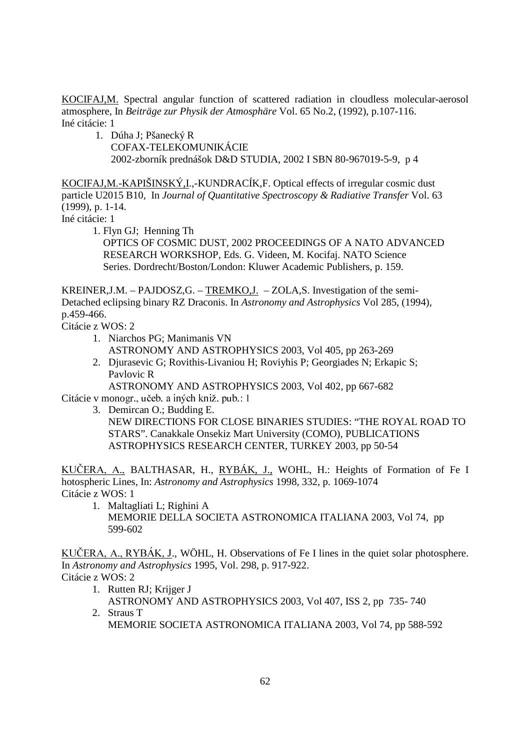KOCIFAJ,M. Spectral angular function of scattered radiation in cloudless molecular-aerosol atmosphere, In *Beiträge zur Physik der Atmosphäre* Vol. 65 No.2, (1992), p.107-116. Iné citácie: 1

1. Dúha J; Pšanecký R COFAX-TELEKOMUNIKÁCIE 2002-zborník prednášok D&D STUDIA, 2002 I SBN 80-967019-5-9, p 4

KOCIFAJ,M.-KAPIŠINSKÝ,I.,-KUNDRACÍK,F. Optical effects of irregular cosmic dust particle U2015 B10, In *Journal of Quantitative Spectroscopy & Radiative Transfer* Vol. 63 (1999), p. 1-14.

Iné citácie: 1

1. Flyn GJ; Henning Th

 OPTICS OF COSMIC DUST, 2002 PROCEEDINGS OF A NATO ADVANCED RESEARCH WORKSHOP, Eds. G. Videen, M. Kocifaj. NATO Science Series. Dordrecht/Boston/London: Kluwer Academic Publishers, p. 159.

KREINER,J.M. – PAJDOSZ,G. – TREMKO,J. – ZOLA,S. Investigation of the semi-Detached eclipsing binary RZ Draconis. In *Astronomy and Astrophysics* Vol 285, (1994), p.459-466.

Citácie z WOS: 2

- 1. Niarchos PG; Manimanis VN ASTRONOMY AND ASTROPHYSICS 2003, Vol 405, pp 263-269
- 2. Djurasevic G; Rovithis-Livaniou H; Roviyhis P; Georgiades N; Erkapic S; Pavlovic R

ASTRONOMY AND ASTROPHYSICS 2003, Vol 402, pp 667-682 Citácie v monogr., učeb. a iných kniž. pub.: 1

3. Demircan O.; Budding E. NEW DIRECTIONS FOR CLOSE BINARIES STUDIES: "THE ROYAL ROAD TO STARS". Canakkale Onsekiz Mart University (COMO), PUBLICATIONS ASTROPHYSICS RESEARCH CENTER, TURKEY 2003, pp 50-54

KUČERA, A., BALTHASAR, H., <u>RYBÁK, J.,</u> WOHL, H.: Heights of Formation of Fe I hotospheric Lines, In: *Astronomy and Astrophysics* 1998, 332, p. 1069-1074 Citácie z WOS: 1

1. Maltagliati L; Righini A MEMORIE DELLA SOCIETA ASTRONOMICA ITALIANA 2003, Vol 74, pp 599-602

KUCERA, A., RYBAK, J., WÖHL, H. Observations of Fe I lines in the quiet solar photosphere. In *Astronomy and Astrophysics* 1995, Vol. 298, p. 917-922. Citácie z WOS: 2

- 1. Rutten RJ; Krijger J
- ASTRONOMY AND ASTROPHYSICS 2003, Vol 407, ISS 2, pp 735- 740 2. Straus T

MEMORIE SOCIETA ASTRONOMICA ITALIANA 2003, Vol 74, pp 588-592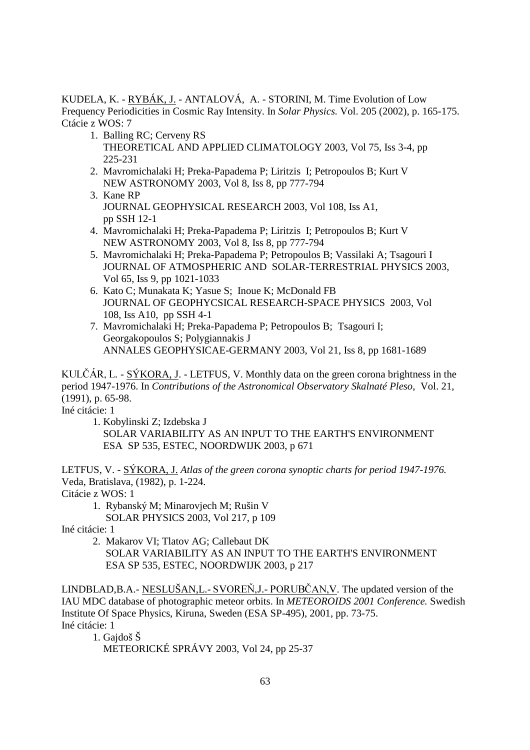KUDELA, K. - RYBÁK, J. - ANTALOVÁ, A. - STORINI, M. Time Evolution of Low Frequency Periodicities in Cosmic Ray Intensity. In *Solar Physics.* Vol. 205 (2002), p. 165-175. Ctácie z WOS: 7

- 1. Balling RC; Cerveny RS THEORETICAL AND APPLIED CLIMATOLOGY 2003, Vol 75, Iss 3-4, pp 225-231
- 2. Mavromichalaki H; Preka-Papadema P; Liritzis I; Petropoulos B; Kurt V NEW ASTRONOMY 2003, Vol 8, Iss 8, pp 777-794
- 3. Kane RP JOURNAL GEOPHYSICAL RESEARCH 2003, Vol 108, Iss A1, pp SSH 12-1
- 4. Mavromichalaki H; Preka-Papadema P; Liritzis I; Petropoulos B; Kurt V NEW ASTRONOMY 2003, Vol 8, Iss 8, pp 777-794
- 5. Mavromichalaki H; Preka-Papadema P; Petropoulos B; Vassilaki A; Tsagouri I JOURNAL OF ATMOSPHERIC AND SOLAR-TERRESTRIAL PHYSICS 2003, Vol 65, Iss 9, pp 1021-1033
- 6. Kato C; Munakata K; Yasue S; Inoue K; McDonald FB JOURNAL OF GEOPHYCSICAL RESEARCH-SPACE PHYSICS 2003, Vol 108, Iss A10, pp SSH 4-1
- 7. Mavromichalaki H; Preka-Papadema P; Petropoulos B; Tsagouri I; Georgakopoulos S; Polygiannakis J ANNALES GEOPHYSICAE-GERMANY 2003, Vol 21, Iss 8, pp 1681-1689

KULČÁR, L. - <u>SÝKORA, J</u>. - LETFUS, V. Monthly data on the green corona brightness in the period 1947-1976. In *Contributions of the Astronomical Observatory Skalnaté Pleso*, Vol. 21, (1991), p. 65-98.

Iné citácie: 1

 1. Kobylinski Z; Izdebska J SOLAR VARIABILITY AS AN INPUT TO THE EARTH'S ENVIRONMENT ESA SP 535, ESTEC, NOORDWIJK 2003, p 671

LETFUS, V. - SÝKORA, J. *Atlas of the green corona synoptic charts for period 1947-1976.* Veda, Bratislava, (1982), p. 1-224. Citácie z WOS: 1

1. Rybanský M; Minarovjech M; Rušin V

SOLAR PHYSICS 2003, Vol 217, p 109

Iné citácie: 1

- 2. Makarov VI; Tlatov AG; Callebaut DK
	- SOLAR VARIABILITY AS AN INPUT TO THE EARTH'S ENVIRONMENT ESA SP 535, ESTEC, NOORDWIJK 2003, p 217

LINDBLAD, B.A. - NESLUŠAN, L. - SVOREŇ, J. - PORUBČAN, V. The updated version of the IAU MDC database of photographic meteor orbits. In *METEOROIDS 2001 Conference.* Swedish Institute Of Space Physics, Kiruna, Sweden (ESA SP-495), 2001, pp. 73-75. Iné citácie: 1

1. Gajdoš Š

METEORICKÉ SPRÁVY 2003, Vol 24, pp 25-37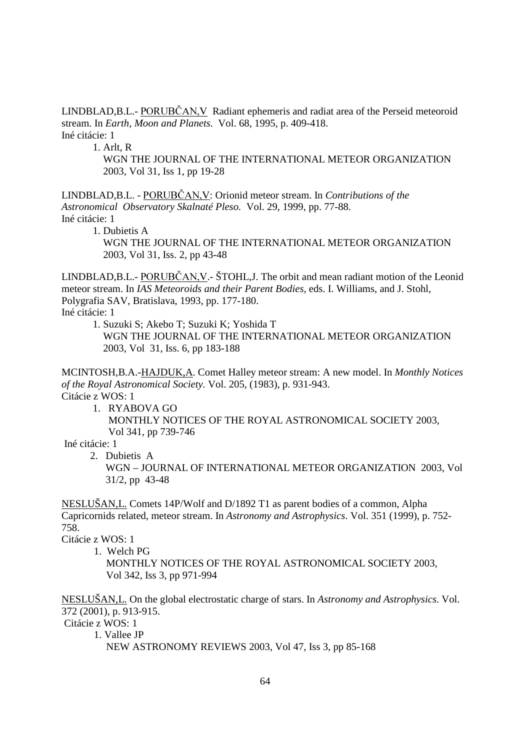$LINDBLAD, B.L.-  $\underline{PORUBČAN,V}$  Radiant ephemeris and radiat area of the Perseid meteoroid$ stream. In *Earth, Moon and Planets.* Vol. 68, 1995, p. 409-418. Iné citácie: 1

1. Arlt, R

 WGN THE JOURNAL OF THE INTERNATIONAL METEOR ORGANIZATION 2003, Vol 31, Iss 1, pp 19-28

LINDBLAD,B.L. - PORUBČAN, V: Orionid meteor stream. In *Contributions of the Astronomical Observatory Skalnaté Pleso.* Vol. 29, 1999, pp. 77-88. Iné citácie: 1 1. Dubietis A

 WGN THE JOURNAL OF THE INTERNATIONAL METEOR ORGANIZATION 2003, Vol 31, Iss. 2, pp 43-48

 $LINDBLAD, B.L.- PORTBČAN, V - ŠTOHL, J. The orbit and mean radiation of the Leonid$ meteor stream. In *IAS Meteoroids and their Parent Bodies,* eds. I. Williams, and J. Stohl, Polygrafia SAV, Bratislava, 1993, pp. 177-180.

Iné citácie: 1

1. Suzuki S; Akebo T; Suzuki K; Yoshida T

 WGN THE JOURNAL OF THE INTERNATIONAL METEOR ORGANIZATION 2003, Vol 31, Iss. 6, pp 183-188

MCINTOSH,B.A.-HAJDUK,A. Comet Halley meteor stream: A new model. In *Monthly Notices of the Royal Astronomical Society.* Vol. 205, (1983), p. 931-943. Citácie z WOS: 1

1. RYABOVA GO

 MONTHLY NOTICES OF THE ROYAL ASTRONOMICAL SOCIETY 2003, Vol 341, pp 739-746

Iné citácie: 1

2. Dubietis A

 WGN – JOURNAL OF INTERNATIONAL METEOR ORGANIZATION 2003, Vol 31/2, pp 43-48

NESLUŠAN,L. Comets 14P/Wolf and D/1892 T1 as parent bodies of a common, Alpha Capricornids related, meteor stream. In *Astronomy and Astrophysics*. Vol. 351 (1999), p. 752- 758.

Citácie z WOS: 1

1. Welch PG

 MONTHLY NOTICES OF THE ROYAL ASTRONOMICAL SOCIETY 2003, Vol 342, Iss 3, pp 971-994

NESLUŠAN,L. On the global electrostatic charge of stars. In *Astronomy and Astrophysics*. Vol. 372 (2001), p. 913-915.

Citácie z WOS: 1

 1. Vallee JP NEW ASTRONOMY REVIEWS 2003, Vol 47, Iss 3, pp 85-168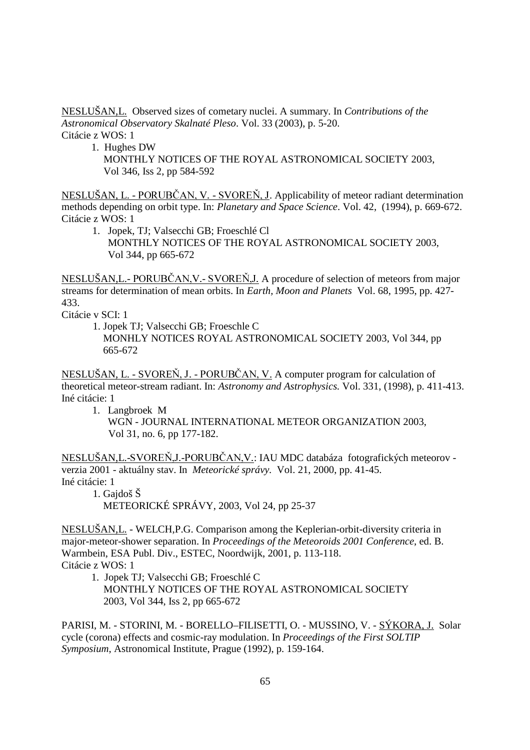NESLUŠAN,L. Observed sizes of cometary nuclei. A summary. In *Contributions of the Astronomical Observatory Skalnaté Pleso*. Vol. 33 (2003), p. 5-20. Citácie z WOS: 1

- 1. Hughes DW
	- MONTHLY NOTICES OF THE ROYAL ASTRONOMICAL SOCIETY 2003, Vol 346, Iss 2, pp 584-592

NESLUŠAN, L. - PORUBČAN, V. - SVOREŇ, J. Applicability of meteor radiant determination methods depending on orbit type. In: *Planetary and Space Science*. Vol. 42, (1994), p. 669-672. Citácie z WOS: 1

1. Jopek, TJ; Valsecchi GB; Froeschlé Cl MONTHLY NOTICES OF THE ROYAL ASTRONOMICAL SOCIETY 2003, Vol 344, pp 665-672

NESLUŠAN, L. - PORUBČAN, V. - SVOREŇ, J. A procedure of selection of meteors from major streams for determination of mean orbits. In *Earth, Moon and Planets* Vol. 68, 1995, pp. 427- 433.

Citácie v SCI: 1

 1. Jopek TJ; Valsecchi GB; Froeschle C MONHLY NOTICES ROYAL ASTRONOMICAL SOCIETY 2003, Vol 344, pp 665-672

NESLUŠAN, L. - SVOREŇ, J. - PORUBČAN, V. A computer program for calculation of theoretical meteor-stream radiant. In: *Astronomy and Astrophysics.* Vol. 331, (1998), p. 411-413. Iné citácie: 1

1. Langbroek M

WGN - JOURNAL INTERNATIONAL METEOR ORGANIZATION 2003, Vol 31, no. 6, pp 177-182.

NESLUŠAN,L.-SVOREŇ,J.-PORUBČAN,V.: IAU MDC databáza fotografických meteorov verzia 2001 - aktuálny stav. In *Meteorické správy.* Vol. 21, 2000, pp. 41-45. Iné citácie: 1

1. Gajdoš Š

METEORICKÉ SPRÁVY, 2003, Vol 24, pp 25-37

NESLUŠAN,L. - WELCH,P.G. Comparison among the Keplerian-orbit-diversity criteria in major-meteor-shower separation. In *Proceedings of the Meteoroids 2001 Conference*, ed. B. Warmbein, ESA Publ. Div., ESTEC, Noordwijk, 2001, p. 113-118. Citácie z WOS: 1

 1. Jopek TJ; Valsecchi GB; Froeschlé C MONTHLY NOTICES OF THE ROYAL ASTRONOMICAL SOCIETY 2003, Vol 344, Iss 2, pp 665-672

PARISI, M. - STORINI, M. - BORELLO–FILISETTI, O. - MUSSINO, V. - SÝKORA, J. Solar cycle (corona) effects and cosmic-ray modulation. In *Proceedings of the First SOLTIP Symposium*, Astronomical Institute, Prague (1992), p. 159-164.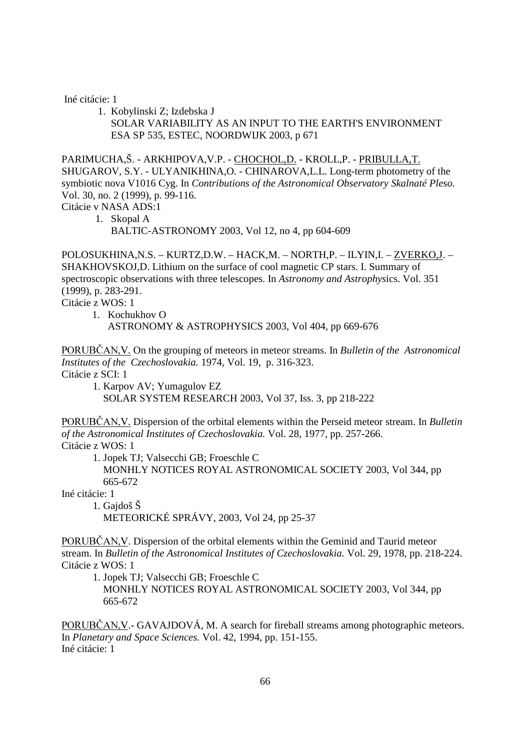Iné citácie: 1

 1. Kobylinski Z; Izdebska J SOLAR VARIABILITY AS AN INPUT TO THE EARTH'S ENVIRONMENT ESA SP 535, ESTEC, NOORDWIJK 2003, p 671

PARIMUCHA,Š. - ARKHIPOVA,V.P. - CHOCHOL,D. - KROLL,P. - PRIBULLA,T. SHUGAROV, S.Y. - ULYANIKHINA,O. - CHINAROVA,L.L. Long-term photometry of the symbiotic nova V1016 Cyg. In *Contributions of the Astronomical Observatory Skalnaté Pleso.*  Vol. 30, no. 2 (1999), p. 99-116.

Citácie v NASA ADS:1

1. Skopal A

BALTIC-ASTRONOMY 2003, Vol 12, no 4, pp 604-609

POLOSUKHINA,N.S. – KURTZ,D.W. – HACK,M. – NORTH,P. – ILYIN,I. – ZVERKO,J. – SHAKHOVSKOJ,D. Lithium on the surface of cool magnetic CP stars. I. Summary of spectroscopic observations with three telescopes. In *Astronomy and Astrophys*ics. Vol. 351 (1999), p. 283-291.

Citácie z WOS: 1

1. Kochukhov O

ASTRONOMY & ASTROPHYSICS 2003, Vol 404, pp 669-676

PORUBČAN, V. On the grouping of meteors in meteor streams. In *Bulletin of the Astronomical Institutes of the Czechoslovakia.* 1974, Vol. 19, p. 316-323. Citácie z SCI: 1

 1. Karpov AV; Yumagulov EZ SOLAR SYSTEM RESEARCH 2003, Vol 37, Iss. 3, pp 218-222

PORUBČAN, V. Dispersion of the orbital elements within the Perseid meteor stream. In *Bulletin of the Astronomical Institutes of Czechoslovakia.* Vol. 28, 1977, pp. 257-266. Citácie z WOS: 1

1. Jopek TJ; Valsecchi GB; Froeschle C

 MONHLY NOTICES ROYAL ASTRONOMICAL SOCIETY 2003, Vol 344, pp 665-672

Iné citácie: 1

1. Gajdoš Š

METEORICKÉ SPRÁVY, 2003, Vol 24, pp 25-37

PORUBČAN, V. Dispersion of the orbital elements within the Geminid and Taurid meteor stream. In *Bulletin of the Astronomical Institutes of Czechoslovakia.* Vol. 29, 1978, pp. 218-224. Citácie z WOS: 1

1. Jopek TJ; Valsecchi GB; Froeschle C

 MONHLY NOTICES ROYAL ASTRONOMICAL SOCIETY 2003, Vol 344, pp 665-672

PORUBČAN, V. - GAVAJDOVÁ, M. A search for fireball streams among photographic meteors. In *Planetary and Space Sciences.* Vol. 42, 1994, pp. 151-155. Iné citácie: 1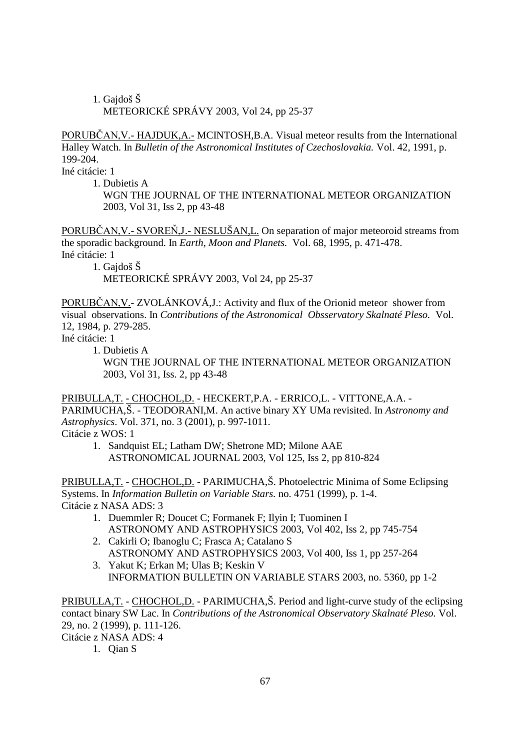# 1. Gajdoš Š METEORICKÉ SPRÁVY 2003, Vol 24, pp 25-37

PORUBČAN, V. - HAJDUK, A. - MCINTOSH, B.A. Visual meteor results from the International Halley Watch. In *Bulletin of the Astronomical Institutes of Czechoslovakia.* Vol. 42, 1991, p. 199-204.

Iné citácie: 1

1. Dubietis A

 WGN THE JOURNAL OF THE INTERNATIONAL METEOR ORGANIZATION 2003, Vol 31, Iss 2, pp 43-48

PORUBČAN, V. - SVOREŇ, J. - NESLUŠAN, L. On separation of major meteoroid streams from the sporadic background. In *Earth, Moon and Planets.* Vol. 68, 1995, p. 471-478. Iné citácie: 1

1. Gajdoš Š

METEORICKÉ SPRÁVY 2003, Vol 24, pp 25-37

PORUBČAN, V. - ZVOLÁNKOVÁ, J.: Activity and flux of the Orionid meteor shower from visual observations. In *Contributions of the Astronomical Obsservatory Skalnaté Pleso.* Vol. 12, 1984, p. 279-285.

Iné citácie: 1

1. Dubietis A

 WGN THE JOURNAL OF THE INTERNATIONAL METEOR ORGANIZATION 2003, Vol 31, Iss. 2, pp 43-48

PRIBULLA,T. - CHOCHOL,D. - HECKERT,P.A. - ERRICO,L. - VITTONE,A.A. - PARIMUCHA,Š. - TEODORANI,M. An active binary XY UMa revisited. In *Astronomy and Astrophysics*. Vol. 371, no. 3 (2001), p. 997-1011. Citácie z WOS: 1

1. Sandquist EL; Latham DW; Shetrone MD; Milone AAE ASTRONOMICAL JOURNAL 2003, Vol 125, Iss 2, pp 810-824

PRIBULLA,T. - CHOCHOL,D. - PARIMUCHA,Š. Photoelectric Minima of Some Eclipsing Systems. In *Information Bulletin on Variable Stars.* no. 4751 (1999), p. 1-4. Citácie z NASA ADS: 3

- 1. Duemmler R; Doucet C; Formanek F; Ilyin I; Tuominen I ASTRONOMY AND ASTROPHYSICS 2003, Vol 402, Iss 2, pp 745-754
- 2. Cakirli O; Ibanoglu C; Frasca A; Catalano S ASTRONOMY AND ASTROPHYSICS 2003, Vol 400, Iss 1, pp 257-264
- 3. Yakut K; Erkan M; Ulas B; Keskin V INFORMATION BULLETIN ON VARIABLE STARS 2003, no. 5360, pp 1-2

PRIBULLA,T. - CHOCHOL,D. - PARIMUCHA,Š. Period and light-curve study of the eclipsing contact binary SW Lac. In *Contributions of the Astronomical Observatory Skalnaté Pleso.* Vol. 29, no. 2 (1999), p. 111-126. Citácie z NASA ADS: 4

1. Qian S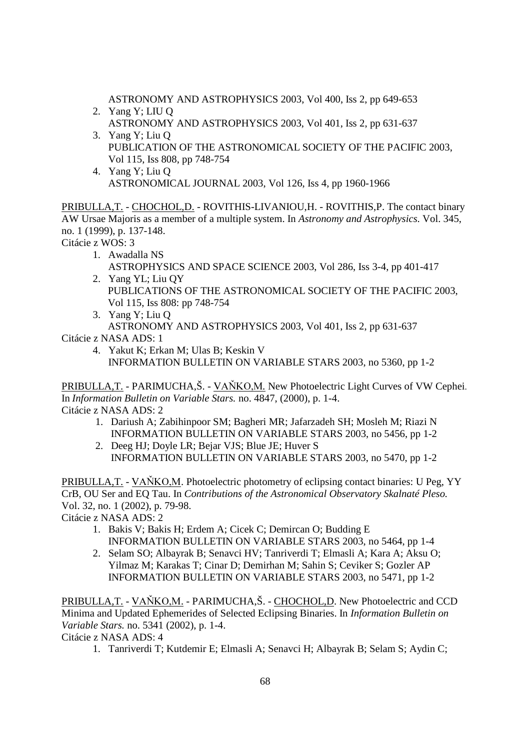ASTRONOMY AND ASTROPHYSICS 2003, Vol 400, Iss 2, pp 649-653

- 2. Yang Y; LIU Q ASTRONOMY AND ASTROPHYSICS 2003, Vol 401, Iss 2, pp 631-637 3. Yang Y; Liu Q PUBLICATION OF THE ASTRONOMICAL SOCIETY OF THE PACIFIC 2003,
- Vol 115, Iss 808, pp 748-754 4. Yang Y; Liu Q

ASTRONOMICAL JOURNAL 2003, Vol 126, Iss 4, pp 1960-1966

PRIBULLA,T. - CHOCHOL,D. - ROVITHIS-LIVANIOU,H. - ROVITHIS,P. The contact binary AW Ursae Majoris as a member of a multiple system. In *Astronomy and Astrophysics*. Vol. 345, no. 1 (1999), p. 137-148.

Citácie z WOS: 3

1. Awadalla NS

 ASTROPHYSICS AND SPACE SCIENCE 2003, Vol 286, Iss 3-4, pp 401-417 2. Yang YL; Liu QY

- PUBLICATIONS OF THE ASTRONOMICAL SOCIETY OF THE PACIFIC 2003, Vol 115, Iss 808: pp 748-754
- 3. Yang Y; Liu Q ASTRONOMY AND ASTROPHYSICS 2003, Vol 401, Iss 2, pp 631-637
- Citácie z NASA ADS: 1
	- 4. Yakut K; Erkan M; Ulas B; Keskin V INFORMATION BULLETIN ON VARIABLE STARS 2003, no 5360, pp 1-2

PRIBULLA, T. - PARIMUCHA, Š. - VAŇKO, M. New Photoelectric Light Curves of VW Cephei. In *Information Bulletin on Variable Stars.* no. 4847, (2000), p. 1-4. Citácie z NASA ADS: 2

- 1. Dariush A; Zabihinpoor SM; Bagheri MR; Jafarzadeh SH; Mosleh M; Riazi N INFORMATION BULLETIN ON VARIABLE STARS 2003, no 5456, pp 1-2
- 2. Deeg HJ; Doyle LR; Bejar VJS; Blue JE; Huver S INFORMATION BULLETIN ON VARIABLE STARS 2003, no 5470, pp 1-2

PRIBULLA, T. - VAŇKO, M. Photoelectric photometry of eclipsing contact binaries: U Peg, YY CrB, OU Ser and EQ Tau. In *Contributions of the Astronomical Observatory Skalnaté Pleso.* Vol. 32, no. 1 (2002), p. 79-98.

Citácie z NASA ADS: 2

- 1. Bakis V; Bakis H; Erdem A; Cicek C; Demircan O; Budding E INFORMATION BULLETIN ON VARIABLE STARS 2003, no 5464, pp 1-4
- 2. Selam SO; Albayrak B; Senavci HV; Tanriverdi T; Elmasli A; Kara A; Aksu O; Yilmaz M; Karakas T; Cinar D; Demirhan M; Sahin S; Ceviker S; Gozler AP INFORMATION BULLETIN ON VARIABLE STARS 2003, no 5471, pp 1-2

PRIBULLA, T. - VAŇKO, M. - PARIMUCHA, Š. - CHOCHOL, D. New Photoelectric and CCD Minima and Updated Ephemerides of Selected Eclipsing Binaries. In *Information Bulletin on Variable Stars.* no. 5341 (2002), p. 1-4.

Citácie z NASA ADS: 4

1. Tanriverdi T; Kutdemir E; Elmasli A; Senavci H; Albayrak B; Selam S; Aydin C;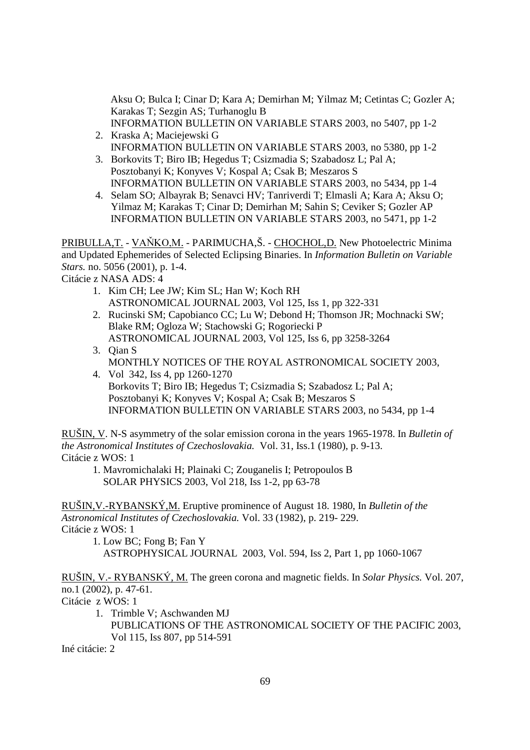Aksu O; Bulca I; Cinar D; Kara A; Demirhan M; Yilmaz M; Cetintas C; Gozler A; Karakas T; Sezgin AS; Turhanoglu B

- INFORMATION BULLETIN ON VARIABLE STARS 2003, no 5407, pp 1-2 2. Kraska A; Maciejewski G
- INFORMATION BULLETIN ON VARIABLE STARS 2003, no 5380, pp 1-2 3. Borkovits T; Biro IB; Hegedus T; Csizmadia S; Szabadosz L; Pal A;
- Posztobanyi K; Konyves V; Kospal A; Csak B; Meszaros S INFORMATION BULLETIN ON VARIABLE STARS 2003, no 5434, pp 1-4
- 4. Selam SO; Albayrak B; Senavci HV; Tanriverdi T; Elmasli A; Kara A; Aksu O; Yilmaz M; Karakas T; Cinar D; Demirhan M; Sahin S; Ceviker S; Gozler AP INFORMATION BULLETIN ON VARIABLE STARS 2003, no 5471, pp 1-2

PRIBULLA, T. - VAŇKO, M. - PARIMUCHA,Š. - CHOCHOL, D. New Photoelectric Minima and Updated Ephemerides of Selected Eclipsing Binaries. In *Information Bulletin on Variable Stars.* no. 5056 (2001), p. 1-4.

Citácie z NASA ADS: 4

- 1. Kim CH; Lee JW; Kim SL; Han W; Koch RH ASTRONOMICAL JOURNAL 2003, Vol 125, Iss 1, pp 322-331
- 2. Rucinski SM; Capobianco CC; Lu W; Debond H; Thomson JR; Mochnacki SW; Blake RM; Ogloza W; Stachowski G; Rogoriecki P ASTRONOMICAL JOURNAL 2003, Vol 125, Iss 6, pp 3258-3264
- 3. Qian S MONTHLY NOTICES OF THE ROYAL ASTRONOMICAL SOCIETY 2003,
- 4. Vol 342, Iss 4, pp 1260-1270 Borkovits T; Biro IB; Hegedus T; Csizmadia S; Szabadosz L; Pal A; Posztobanyi K; Konyves V; Kospal A; Csak B; Meszaros S INFORMATION BULLETIN ON VARIABLE STARS 2003, no 5434, pp 1-4

RUŠIN, V. N-S asymmetry of the solar emission corona in the years 1965-1978. In *Bulletin of the Astronomical Institutes of Czechoslovakia.* Vol. 31, Iss.1 (1980), p. 9-13. Citácie z WOS: 1

 1. Mavromichalaki H; Plainaki C; Zouganelis I; Petropoulos B SOLAR PHYSICS 2003, Vol 218, Iss 1-2, pp 63-78

RUŠIN,V.-RYBANSKÝ,M. Eruptive prominence of August 18. 1980, In *Bulletin of the Astronomical Institutes of Czechoslovakia.* Vol. 33 (1982), p. 219- 229. Citácie z WOS: 1

 1. Low BC; Fong B; Fan Y ASTROPHYSICAL JOURNAL2003, Vol. 594, Iss 2, Part 1, pp 1060-1067

RUŠIN, V.- RYBANSKÝ, M. The green corona and magnetic fields. In *Solar Physics.* Vol. 207, no.1 (2002), p. 47-61.

Citácie z WOS: 1

1. Trimble V; Aschwanden MJ PUBLICATIONS OF THE ASTRONOMICAL SOCIETY OF THE PACIFIC 2003, Vol 115, Iss 807, pp 514-591

Iné citácie: 2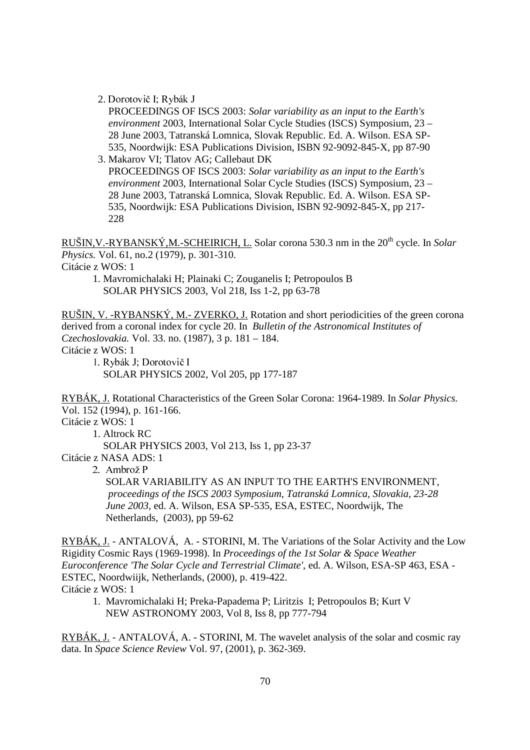2. Dorotovič I; Rybák J

 PROCEEDINGS OF ISCS 2003: *Solar variability as an input to the Earth's environment* 2003, International Solar Cycle Studies (ISCS) Symposium, 23 – 28 June 2003, Tatranská Lomnica, Slovak Republic. Ed. A. Wilson. ESA SP- 535, Noordwijk: ESA Publications Division, ISBN 92-9092-845-X, pp 87-90

 3. Makarov VI; Tlatov AG; Callebaut DK PROCEEDINGS OF ISCS 2003: *Solar variability as an input to the Earth's environment* 2003, International Solar Cycle Studies (ISCS) Symposium, 23 – 28 June 2003, Tatranská Lomnica, Slovak Republic. Ed. A. Wilson. ESA SP- 535, Noordwijk: ESA Publications Division, ISBN 92-9092-845-X, pp 217- 228

RUŠIN,V.-RYBANSKÝ,M.-SCHEIRICH, L. Solar corona 530.3 nm in the 20th cycle. In *Solar Physics.* Vol. 61, no.2 (1979), p. 301-310.

Citácie z WOS: 1

 1. Mavromichalaki H; Plainaki C; Zouganelis I; Petropoulos B SOLAR PHYSICS 2003, Vol 218, Iss 1-2, pp 63-78

RUŠIN, V. -RYBANSKÝ, M.- ZVERKO, J. Rotation and short periodicities of the green corona derived from a coronal index for cycle 20. In *Bulletin of the Astronomical Institutes of Czechoslovakia.* Vol. 33. no. (1987), 3 p. 181 – 184. Citácie z WOS: 1

1. Rybák J; Dorotovič I SOLAR PHYSICS 2002, Vol 205, pp 177-187

RYBÁK, J. Rotational Characteristics of the Green Solar Corona: 1964-1989. In *Solar Physics.*  Vol. 152 (1994), p. 161-166.

Citácie z WOS: 1

1. Altrock RC

SOLAR PHYSICS 2003, Vol 213, Iss 1, pp 23-37

Citácie z NASA ADS: 1

2. Ambrož P

 SOLAR VARIABILITY AS AN INPUT TO THE EARTH'S ENVIRONMENT*, proceedings of the ISCS 2003 Symposium, Tatranská Lomnica, Slovakia, 23-28 June 2003,* ed. A. Wilson, ESA SP-535, ESA, ESTEC, Noordwijk, The Netherlands, (2003), pp 59-62

RYBÁK, J. - ANTALOVÁ, A. - STORINI, M. The Variations of the Solar Activity and the Low Rigidity Cosmic Rays (1969-1998). In *Proceedings of the 1st Solar & Space Weather Euroconference 'The Solar Cycle and Terrestrial Climate',* ed. A. Wilson, ESA-SP 463, ESA - ESTEC, Noordwiijk, Netherlands, (2000), p. 419-422. Citácie z WOS: 1

 1. Mavromichalaki H; Preka-Papadema P; Liritzis I; Petropoulos B; Kurt V NEW ASTRONOMY 2003, Vol 8, Iss 8, pp 777-794

RYBÁK, J. - ANTALOVÁ, A. - STORINI, M. The wavelet analysis of the solar and cosmic ray data. In *Space Science Review* Vol. 97, (2001), p. 362-369.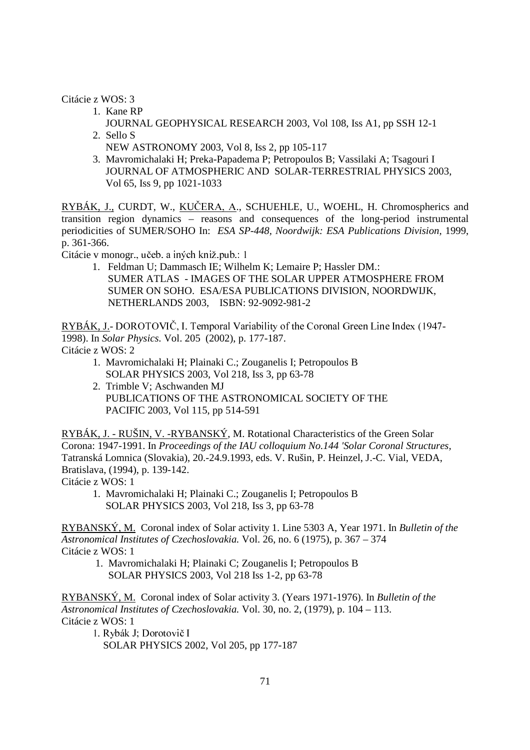Citácie z WOS: 3

- 1. Kane RP
- JOURNAL GEOPHYSICAL RESEARCH 2003, Vol 108, Iss A1, pp SSH 12-1 2. Sello S
	- NEW ASTRONOMY 2003, Vol 8, Iss 2, pp 105-117
- 3. Mavromichalaki H; Preka-Papadema P; Petropoulos B; Vassilaki A; Tsagouri I JOURNAL OF ATMOSPHERIC AND SOLAR-TERRESTRIAL PHYSICS 2003, Vol 65, Iss 9, pp 1021-1033

RYBÁK, J., CURDT, W., KUCERA, A., SCHUEHLE, U., WOEHL, H. Chromospherics and transition region dynamics – reasons and consequences of the long-period instrumental periodicities of SUMER/SOHO In: *ESA SP-448, Noordwijk: ESA Publications Division,* 1999, p. 361-366.

Citácie v monogr., učeb. a iných kniž pub.: 1

1. Feldman U; Dammasch IE; Wilhelm K; Lemaire P; Hassler DM.: SUMER ATLAS - IMAGES OF THE SOLAR UPPER ATMOSPHERE FROM SUMER ON SOHO. ESA/ESA PUBLICATIONS DIVISION, NOORDWIJK, NETHERLANDS 2003, ISBN: 92-9092-981-2

RYBÁK, J.- DOROTOVIČ, I. Temporal Variability of the Coronal Green Line Index (1947-1998). In *Solar Physics.* Vol. 205 (2002), p. 177-187. Citácie z WOS: 2

- 1. Mavromichalaki H; Plainaki C.; Zouganelis I; Petropoulos B SOLAR PHYSICS 2003, Vol 218, Iss 3, pp 63-78
- 2. Trimble V; Aschwanden MJ PUBLICATIONS OF THE ASTRONOMICAL SOCIETY OF THE PACIFIC 2003, Vol 115, pp 514-591

RYBÁK, J. - RUŠIN, V. -RYBANSKÝ, M. Rotational Characteristics of the Green Solar Corona: 1947-1991. In *Proceedings of the IAU colloquium No.144 'Solar Coronal Structures,*  Tatranská Lomnica (Slovakia), 20.-24.9.1993, eds. V. Rušin, P. Heinzel, J.-C. Vial, VEDA, Bratislava, (1994), p. 139-142.

Citácie z WOS: 1

 1. Mavromichalaki H; Plainaki C.; Zouganelis I; Petropoulos B SOLAR PHYSICS 2003, Vol 218, Iss 3, pp 63-78

RYBANSKÝ, M. Coronal index of Solar activity 1. Line 5303 A, Year 1971. In *Bulletin of the Astronomical Institutes of Czechoslovakia.* Vol. 26, no. 6 (1975), p. 367 – 374 Citácie z WOS: 1

 1. Mavromichalaki H; Plainaki C; Zouganelis I; Petropoulos B SOLAR PHYSICS 2003, Vol 218 Iss 1-2, pp 63-78

RYBANSKÝ, M. Coronal index of Solar activity 3. (Years 1971-1976). In *Bulletin of the Astronomical Institutes of Czechoslovakia.* Vol. 30, no. 2, (1979), p. 104 – 113. Citácie z WOS: 1

1. Rybák J; Dorotovič I SOLAR PHYSICS 2002, Vol 205, pp 177-187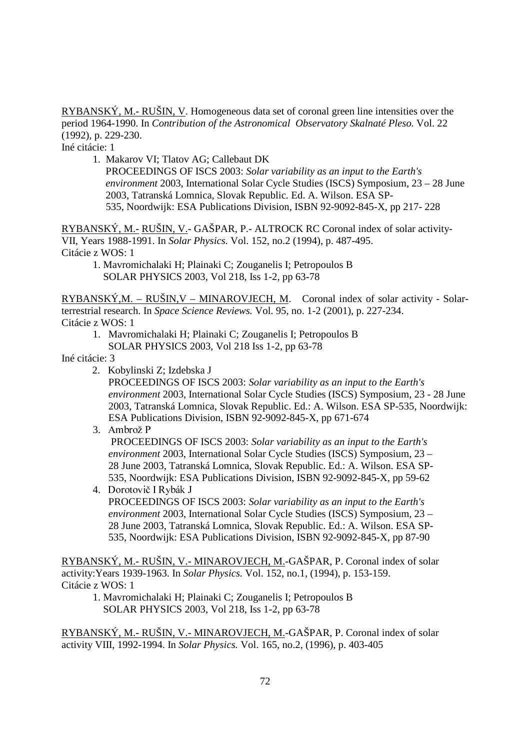RYBANSKÝ, M.- RUŠIN, V. Homogeneous data set of coronal green line intensities over the period 1964-1990. In *Contribution of the Astronomical Observatory Skalnaté Pleso.* Vol. 22 (1992), p. 229-230.

Iné citácie: 1

1. Makarov VI; Tlatov AG; Callebaut DK

 PROCEEDINGS OF ISCS 2003: *Solar variability as an input to the Earth's environment* 2003, International Solar Cycle Studies (ISCS) Symposium, 23 – 28 June 2003, Tatranská Lomnica, Slovak Republic. Ed. A. Wilson. ESA SP- 535, Noordwijk: ESA Publications Division, ISBN 92-9092-845-X, pp 217- 228

RYBANSKÝ, M.- RUŠIN, V.- GAŠPAR, P.- ALTROCK RC Coronal index of solar activity-VII, Years 1988-1991. In *Solar Physics.* Vol. 152, no.2 (1994), p. 487-495. Citácie z WOS: 1

1. Mavromichalaki H; Plainaki C; Zouganelis I; Petropoulos B SOLAR PHYSICS 2003, Vol 218, Iss 1-2, pp 63-78

RYBANSKÝ,M. – RUŠIN,V – MINAROVJECH, M. Coronal index of solar activity - Solarterrestrial research. In *Space Science Reviews.* Vol. 95, no. 1-2 (2001), p. 227-234. Citácie z WOS: 1

1. Mavromichalaki H; Plainaki C; Zouganelis I; Petropoulos B SOLAR PHYSICS 2003, Vol 218 Iss 1-2, pp 63-78

Iné citácie: 3

2. Kobylinski Z; Izdebska J

 PROCEEDINGS OF ISCS 2003: *Solar variability as an input to the Earth's environment* 2003, International Solar Cycle Studies (ISCS) Symposium, 23 - 28 June 2003, Tatranská Lomnica, Slovak Republic. Ed.: A. Wilson. ESA SP-535, Noordwijk: ESA Publications Division, ISBN 92-9092-845-X, pp 671-674

3. Ambrož P

 PROCEEDINGS OF ISCS 2003: *Solar variability as an input to the Earth's environment* 2003, International Solar Cycle Studies (ISCS) Symposium, 23 – 28 June 2003, Tatranská Lomnica, Slovak Republic. Ed.: A. Wilson. ESA SP- 535, Noordwijk: ESA Publications Division, ISBN 92-9092-845-X, pp 59-62

4. Dorotovič I Rybák J

 PROCEEDINGS OF ISCS 2003: *Solar variability as an input to the Earth's environment* 2003, International Solar Cycle Studies (ISCS) Symposium, 23 – 28 June 2003, Tatranská Lomnica, Slovak Republic. Ed.: A. Wilson. ESA SP- 535, Noordwijk: ESA Publications Division, ISBN 92-9092-845-X, pp 87-90

RYBANSKÝ, M.- RUŠIN, V.- MINAROVJECH, M.-GAŠPAR, P. Coronal index of solar activity:Years 1939-1963. In *Solar Physics.* Vol. 152, no.1, (1994), p. 153-159. Citácie z WOS: 1

1. Mavromichalaki H; Plainaki C; Zouganelis I; Petropoulos B SOLAR PHYSICS 2003, Vol 218, Iss 1-2, pp 63-78

RYBANSKÝ, M.- RUŠIN, V.- MINAROVJECH, M.-GAŠPAR, P. Coronal index of solar activity VIII, 1992-1994. In *Solar Physics.* Vol. 165, no.2, (1996), p. 403-405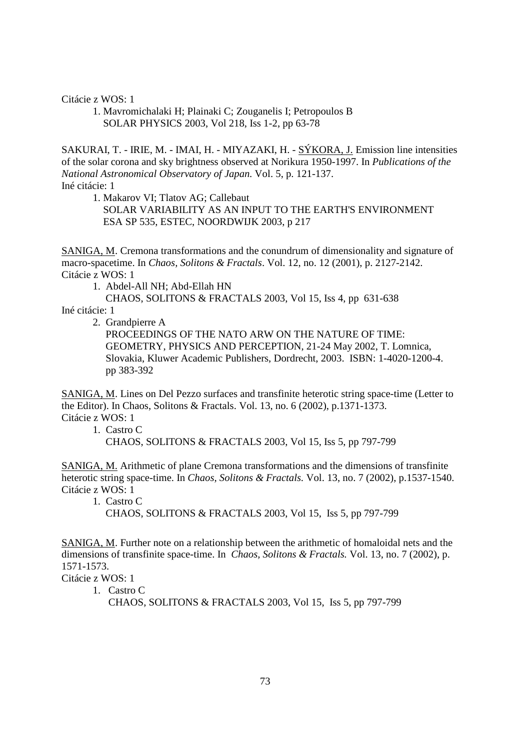Citácie z WOS: 1

1. Mavromichalaki H; Plainaki C; Zouganelis I; Petropoulos B SOLAR PHYSICS 2003, Vol 218, Iss 1-2, pp 63-78

SAKURAI, T. - IRIE, M. - IMAI, H. - MIYAZAKI, H. - SÝKORA, J. Emission line intensities of the solar corona and sky brightness observed at Norikura 1950-1997. In *Publications of the National Astronomical Observatory of Japan.* Vol. 5, p. 121-137. Iné citácie: 1

1. Makarov VI; Tlatov AG; Callebaut

 SOLAR VARIABILITY AS AN INPUT TO THE EARTH'S ENVIRONMENT ESA SP 535, ESTEC, NOORDWIJK 2003, p 217

SANIGA, M. Cremona transformations and the conundrum of dimensionality and signature of macro-spacetime. In *Chaos, Solitons & Fractals*. Vol. 12, no. 12 (2001), p. 2127-2142. Citácie z WOS: 1

1. Abdel-All NH; Abd-Ellah HN

 CHAOS, SOLITONS & FRACTALS 2003, Vol 15, Iss 4, pp 631-638 Iné citácie: 1

2. Grandpierre A

 PROCEEDINGS OF THE NATO ARW ON THE NATURE OF TIME: GEOMETRY, PHYSICS AND PERCEPTION, 21-24 May 2002, T. Lomnica, Slovakia, Kluwer Academic Publishers, Dordrecht, 2003. ISBN: 1-4020-1200-4. pp 383-392

SANIGA, M. Lines on Del Pezzo surfaces and transfinite heterotic string space-time (Letter to the Editor). In Chaos, Solitons & Fractals. Vol. 13, no. 6 (2002), p.1371-1373. Citácie z WOS: 1

1. Castro C

CHAOS, SOLITONS & FRACTALS 2003, Vol 15, Iss 5, pp 797-799

SANIGA, M. Arithmetic of plane Cremona transformations and the dimensions of transfinite heterotic string space-time. In *Chaos, Solitons & Fractals.* Vol. 13, no. 7 (2002), p.1537-1540. Citácie z WOS: 1

1. Castro C

CHAOS, SOLITONS & FRACTALS 2003, Vol 15, Iss 5, pp 797-799

SANIGA, M. Further note on a relationship between the arithmetic of homaloidal nets and the dimensions of transfinite space-time. In *Chaos, Solitons & Fractals.* Vol. 13, no. 7 (2002), p. 1571-1573.

Citácie z WOS: 1

1. Castro C

CHAOS, SOLITONS & FRACTALS 2003, Vol 15, Iss 5, pp 797-799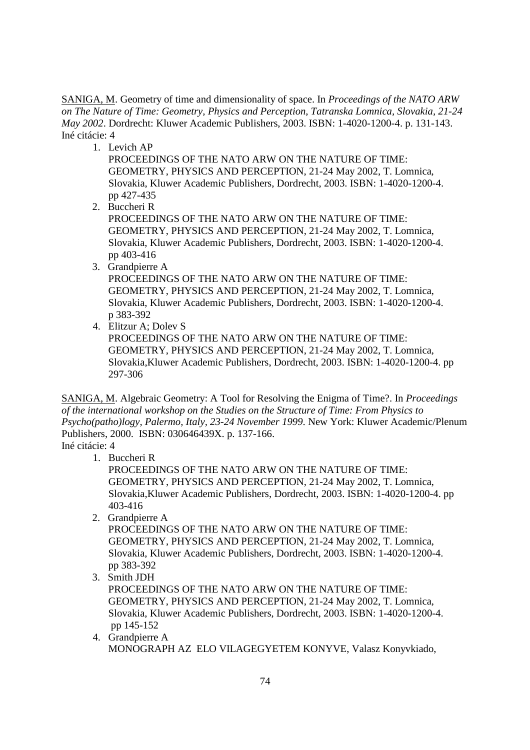SANIGA, M. Geometry of time and dimensionality of space. In *Proceedings of the NATO ARW on The Nature of Time: Geometry, Physics and Perception*, *Tatranska Lomnica, Slovakia, 21-24 May 2002*. Dordrecht: Kluwer Academic Publishers, 2003. ISBN: 1-4020-1200-4. p. 131-143. Iné citácie: 4

1. Levich AP

 PROCEEDINGS OF THE NATO ARW ON THE NATURE OF TIME: GEOMETRY, PHYSICS AND PERCEPTION, 21-24 May 2002, T. Lomnica, Slovakia, Kluwer Academic Publishers, Dordrecht, 2003. ISBN: 1-4020-1200-4. pp 427-435

2. Buccheri R

 PROCEEDINGS OF THE NATO ARW ON THE NATURE OF TIME: GEOMETRY, PHYSICS AND PERCEPTION, 21-24 May 2002, T. Lomnica, Slovakia, Kluwer Academic Publishers, Dordrecht, 2003. ISBN: 1-4020-1200-4. pp 403-416

- 3. Grandpierre A PROCEEDINGS OF THE NATO ARW ON THE NATURE OF TIME: GEOMETRY, PHYSICS AND PERCEPTION, 21-24 May 2002, T. Lomnica, Slovakia, Kluwer Academic Publishers, Dordrecht, 2003. ISBN: 1-4020-1200-4. p 383-392
- 4. Elitzur A; Dolev S PROCEEDINGS OF THE NATO ARW ON THE NATURE OF TIME: GEOMETRY, PHYSICS AND PERCEPTION, 21-24 May 2002, T. Lomnica, Slovakia,Kluwer Academic Publishers, Dordrecht, 2003. ISBN: 1-4020-1200-4. pp 297-306

SANIGA, M. Algebraic Geometry: A Tool for Resolving the Enigma of Time?. In *Proceedings of the international workshop on the Studies on the Structure of Time: From Physics to Psycho(patho)logy, Palermo, Italy, 23-24 November 1999*. New York: Kluwer Academic/Plenum Publishers, 2000. ISBN: 030646439X. p. 137-166.

Iné citácie: 4

- 1. Buccheri R PROCEEDINGS OF THE NATO ARW ON THE NATURE OF TIME: GEOMETRY, PHYSICS AND PERCEPTION, 21-24 May 2002, T. Lomnica, Slovakia,Kluwer Academic Publishers, Dordrecht, 2003. ISBN: 1-4020-1200-4. pp
- 403-416 2. Grandpierre A

 PROCEEDINGS OF THE NATO ARW ON THE NATURE OF TIME: GEOMETRY, PHYSICS AND PERCEPTION, 21-24 May 2002, T. Lomnica, Slovakia, Kluwer Academic Publishers, Dordrecht, 2003. ISBN: 1-4020-1200-4. pp 383-392

- 3. Smith JDH PROCEEDINGS OF THE NATO ARW ON THE NATURE OF TIME: GEOMETRY, PHYSICS AND PERCEPTION, 21-24 May 2002, T. Lomnica, Slovakia, Kluwer Academic Publishers, Dordrecht, 2003. ISBN: 1-4020-1200-4. pp 145-152
- 4. Grandpierre A MONOGRAPH AZ ELO VILAGEGYETEM KONYVE, Valasz Konyvkiado,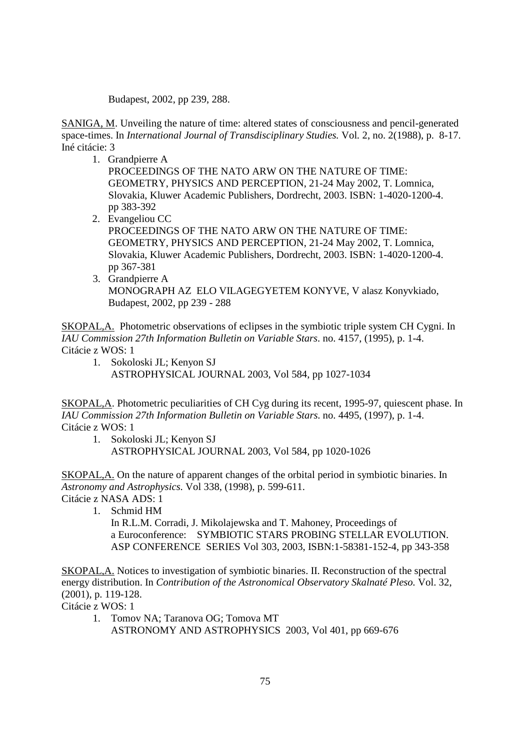Budapest, 2002, pp 239, 288.

SANIGA, M. Unveiling the nature of time: altered states of consciousness and pencil-generated space-times. In *International Journal of Transdisciplinary Studies.* Vol*.* 2, no. 2(1988), p. 8-17. Iné citácie: 3

1. Grandpierre A

 PROCEEDINGS OF THE NATO ARW ON THE NATURE OF TIME: GEOMETRY, PHYSICS AND PERCEPTION, 21-24 May 2002, T. Lomnica, Slovakia, Kluwer Academic Publishers, Dordrecht, 2003. ISBN: 1-4020-1200-4. pp 383-392

- 2. Evangeliou CC PROCEEDINGS OF THE NATO ARW ON THE NATURE OF TIME: GEOMETRY, PHYSICS AND PERCEPTION, 21-24 May 2002, T. Lomnica, Slovakia, Kluwer Academic Publishers, Dordrecht, 2003. ISBN: 1-4020-1200-4. pp 367-381
- 3. Grandpierre A MONOGRAPH AZ ELO VILAGEGYETEM KONYVE, V alasz Konyvkiado, Budapest, 2002, pp 239 - 288

SKOPAL,A. Photometric observations of eclipses in the symbiotic triple system CH Cygni. In *IAU Commission 27th Information Bulletin on Variable Stars.* no. 4157, (1995), p. 1-4. Citácie z WOS: 1

 1. Sokoloski JL; Kenyon SJ ASTROPHYSICAL JOURNAL 2003, Vol 584, pp 1027-1034

SKOPAL,A. Photometric peculiarities of CH Cyg during its recent, 1995-97, quiescent phase. In *IAU Commission 27th Information Bulletin on Variable Stars.* no. 4495, (1997), p. 1-4. Citácie z WOS: 1

 1. Sokoloski JL; Kenyon SJ ASTROPHYSICAL JOURNAL 2003, Vol 584, pp 1020-1026

SKOPAL,A. On the nature of apparent changes of the orbital period in symbiotic binaries. In *Astronomy and Astrophysics.* Vol 338, (1998), p. 599-611. Citácie z NASA ADS: 1

1. Schmid HM

 In R.L.M. Corradi, J. Mikolajewska and T. Mahoney, Proceedings of a Euroconference: SYMBIOTIC STARS PROBING STELLAR EVOLUTION. ASP CONFERENCE SERIES Vol 303, 2003, ISBN:1-58381-152-4, pp 343-358

SKOPAL,A. Notices to investigation of symbiotic binaries. II. Reconstruction of the spectral energy distribution. In *Contribution of the Astronomical Observatory Skalnaté Pleso.* Vol. 32, (2001), p. 119-128.

Citácie z WOS: 1

 1. Tomov NA; Taranova OG; Tomova MT ASTRONOMY AND ASTROPHYSICS 2003, Vol 401, pp 669-676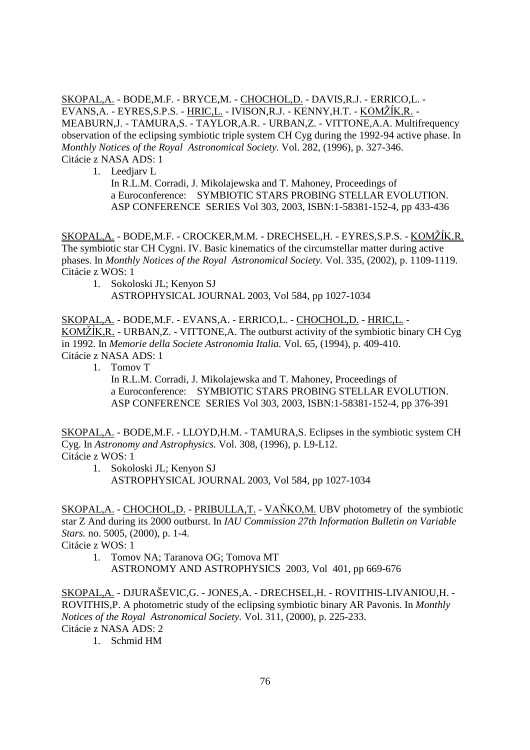SKOPAL,A. - BODE,M.F. - BRYCE,M. - CHOCHOL,D. - DAVIS,R.J. - ERRICO,L. - EVANS,A. - EYRES,S.P.S. - <u>HRIC,L.</u> - IVISON,R.J. - KENNY,H.T. - <u>KOMŽÍK,R.</u> -MEABURN,J. - TAMURA,S. - TAYLOR,A.R. - URBAN,Z. - VITTONE,A.A. Multifrequency observation of the eclipsing symbiotic triple system CH Cyg during the 1992-94 active phase. In *Monthly Notices of the Royal Astronomical Society.* Vol. 282, (1996), p. 327-346. Citácie z NASA ADS: 1

## 1. Leedjarv L

 In R.L.M. Corradi, J. Mikolajewska and T. Mahoney, Proceedings of a Euroconference: SYMBIOTIC STARS PROBING STELLAR EVOLUTION. ASP CONFERENCE SERIES Vol 303, 2003, ISBN:1-58381-152-4, pp 433-436

<u>SKOPAL,A.</u> - BODE,M.F. - CROCKER,M.M. - DRECHSEL,H. - EYRES,S.P.S. - <u>KOMŽÍK,R.</u> The symbiotic star CH Cygni. IV. Basic kinematics of the circumstellar matter during active phases. In *Monthly Notices of the Royal Astronomical Society.* Vol. 335, (2002), p. 1109-1119. Citácie z WOS: 1

 1. Sokoloski JL; Kenyon SJ ASTROPHYSICAL JOURNAL 2003, Vol 584, pp 1027-1034

SKOPAL,A. - BODE,M.F. - EVANS,A. - ERRICO,L. - CHOCHOL,D. - HRIC,L. -  $KOMZIK, R.$  - URBAN, Z. - VITTONE, A. The outburst activity of the symbiotic binary CH Cyg in 1992. In *Memorie della Societe Astronomia Italia.* Vol. 65, (1994), p. 409-410. Citácie z NASA ADS: 1

1. Tomov T

 In R.L.M. Corradi, J. Mikolajewska and T. Mahoney, Proceedings of a Euroconference: SYMBIOTIC STARS PROBING STELLAR EVOLUTION. ASP CONFERENCE SERIES Vol 303, 2003, ISBN:1-58381-152-4, pp 376-391

SKOPAL,A. - BODE,M.F. - LLOYD,H.M. - TAMURA,S. Eclipses in the symbiotic system CH Cyg. In *Astronomy and Astrophysics.* Vol. 308, (1996), p. L9-L12. Citácie z WOS: 1

 1. Sokoloski JL; Kenyon SJ ASTROPHYSICAL JOURNAL 2003, Vol 584, pp 1027-1034

SKOPAL, A. - CHOCHOL, D. - PRIBULLA, T. - VAŇKO, M. UBV photometry of the symbiotic star Z And during its 2000 outburst. In *IAU Commission 27th Information Bulletin on Variable Stars.* no. 5005, (2000), p. 1-4.

Citácie z WOS: 1

 1. Tomov NA; Taranova OG; Tomova MT ASTRONOMY AND ASTROPHYSICS 2003, Vol 401, pp 669-676

SKOPAL,A. - DJURAŠEVIC,G. - JONES,A. - DRECHSEL,H. - ROVITHIS-LIVANIOU,H. - ROVITHIS,P. A photometric study of the eclipsing symbiotic binary AR Pavonis. In *Monthly Notices of the Royal Astronomical Society.* Vol. 311, (2000), p. 225-233. Citácie z NASA ADS: 2

1. Schmid HM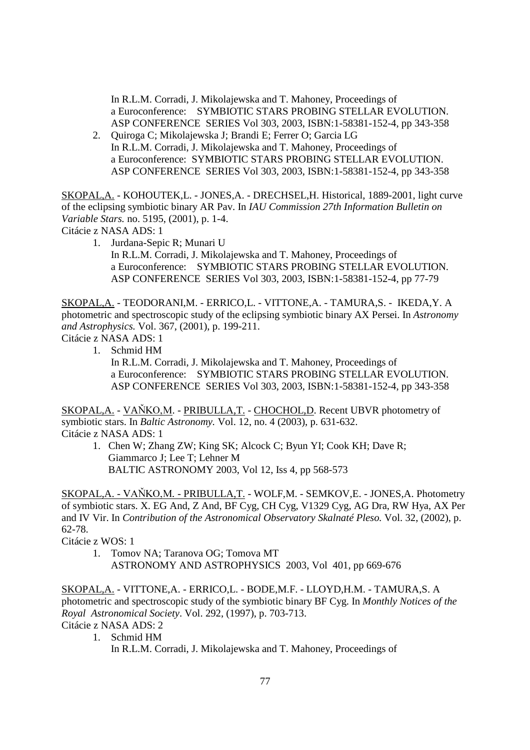In R.L.M. Corradi, J. Mikolajewska and T. Mahoney, Proceedings of a Euroconference: SYMBIOTIC STARS PROBING STELLAR EVOLUTION. ASP CONFERENCE SERIES Vol 303, 2003, ISBN:1-58381-152-4, pp 343-358

 2. Quiroga C; Mikolajewska J; Brandi E; Ferrer O; Garcia LG In R.L.M. Corradi, J. Mikolajewska and T. Mahoney, Proceedings of a Euroconference: SYMBIOTIC STARS PROBING STELLAR EVOLUTION. ASP CONFERENCE SERIES Vol 303, 2003, ISBN:1-58381-152-4, pp 343-358

SKOPAL,A. - KOHOUTEK,L. - JONES,A. - DRECHSEL,H. Historical, 1889-2001, light curve of the eclipsing symbiotic binary AR Pav. In *IAU Commission 27th Information Bulletin on Variable Stars.* no. 5195, (2001), p. 1-4.

Citácie z NASA ADS: 1

 1. Jurdana-Sepic R; Munari U In R.L.M. Corradi, J. Mikolajewska and T. Mahoney, Proceedings of a Euroconference: SYMBIOTIC STARS PROBING STELLAR EVOLUTION. ASP CONFERENCE SERIES Vol 303, 2003, ISBN:1-58381-152-4, pp 77-79

SKOPAL,A. - TEODORANI,M. - ERRICO,L. - VITTONE,A. - TAMURA,S. - IKEDA,Y. A photometric and spectroscopic study of the eclipsing symbiotic binary AX Persei. In *Astronomy and Astrophysics.* Vol. 367, (2001), p. 199-211.

Citácie z NASA ADS: 1

1. Schmid HM

 In R.L.M. Corradi, J. Mikolajewska and T. Mahoney, Proceedings of a Euroconference: SYMBIOTIC STARS PROBING STELLAR EVOLUTION. ASP CONFERENCE SERIES Vol 303, 2003, ISBN:1-58381-152-4, pp 343-358

SKOPAL, A. - VAŇKO, M. - PRIBULLA, T. - CHOCHOL, D. Recent UBVR photometry of symbiotic stars. In *Baltic Astronomy.* Vol. 12, no. 4 (2003), p. 631-632. Citácie z NASA ADS: 1

1. Chen W; Zhang ZW; King SK; Alcock C; Byun YI; Cook KH; Dave R; Giammarco J; Lee T; Lehner M BALTIC ASTRONOMY 2003, Vol 12, Iss 4, pp 568-573

SKOPAL, A. - VAŇKO, M. - PRIBULLA, T. - WOLF, M. - SEMKOV, E. - JONES, A. Photometry of symbiotic stars. X. EG And, Z And, BF Cyg, CH Cyg, V1329 Cyg, AG Dra, RW Hya, AX Per and IV Vir. In *Contribution of the Astronomical Observatory Skalnaté Pleso.* Vol. 32, (2002), p. 62-78.

Citácie z WOS: 1

 1. Tomov NA; Taranova OG; Tomova MT ASTRONOMY AND ASTROPHYSICS 2003, Vol 401, pp 669-676

SKOPAL,A. - VITTONE,A. - ERRICO,L. - BODE,M.F. - LLOYD,H.M. - TAMURA,S. A photometric and spectroscopic study of the symbiotic binary BF Cyg. In *Monthly Notices of the Royal Astronomical Society*. Vol. 292, (1997), p. 703-713. Citácie z NASA ADS: 2

1. Schmid HM

In R.L.M. Corradi, J. Mikolajewska and T. Mahoney, Proceedings of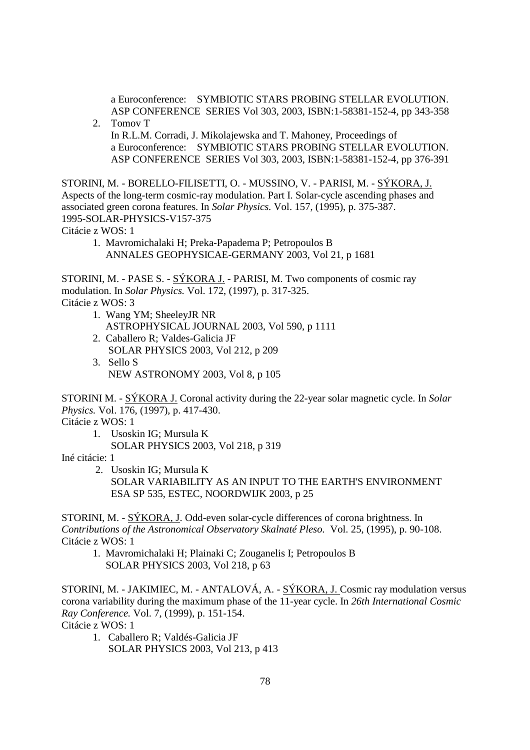a Euroconference: SYMBIOTIC STARS PROBING STELLAR EVOLUTION. ASP CONFERENCE SERIES Vol 303, 2003, ISBN:1-58381-152-4, pp 343-358

 2. Tomov T In R.L.M. Corradi, J. Mikolajewska and T. Mahoney, Proceedings of a Euroconference: SYMBIOTIC STARS PROBING STELLAR EVOLUTION. ASP CONFERENCE SERIES Vol 303, 2003, ISBN:1-58381-152-4, pp 376-391

STORINI, M. - BORELLO-FILISETTI, O. - MUSSINO, V. - PARISI, M. - SÝKORA, J. Aspects of the long-term cosmic-ray modulation. Part I. Solar-cycle ascending phases and associated green corona features. In *Solar Physics.* Vol. 157, (1995), p. 375-387. 1995-SOLAR-PHYSICS-V157-375

Citácie z WOS: 1

 1. Mavromichalaki H; Preka-Papadema P; Petropoulos B ANNALES GEOPHYSICAE-GERMANY 2003, Vol 21, p 1681

STORINI, M. - PASE S. - SÝKORA J. - PARISI, M. Two components of cosmic ray modulation. In *Solar Physics.* Vol. 172, (1997), p. 317-325. Citácie z WOS: 3

- 1. Wang YM; SheeleyJR NR
	- ASTROPHYSICAL JOURNAL 2003, Vol 590, p 1111
	- 2. Caballero R; Valdes-Galicia JF SOLAR PHYSICS 2003, Vol 212, p 209
	- 3. Sello S NEW ASTRONOMY 2003, Vol 8, p 105

STORINI M. - SÝKORA J. Coronal activity during the 22-year solar magnetic cycle. In *Solar Physics.* Vol. 176, (1997), p. 417-430.

Citácie z WOS: 1

 1. Usoskin IG; Mursula K SOLAR PHYSICS 2003, Vol 218, p 319

Iné citácie: 1

 2. Usoskin IG; Mursula K SOLAR VARIABILITY AS AN INPUT TO THE EARTH'S ENVIRONMENT ESA SP 535, ESTEC, NOORDWIJK 2003, p 25

STORINI, M. - SÝKORA, J. Odd-even solar-cycle differences of corona brightness. In *Contributions of the Astronomical Observatory Skalnaté Pleso.* Vol. 25, (1995), p. 90-108. Citácie z WOS: 1

 1. Mavromichalaki H; Plainaki C; Zouganelis I; Petropoulos B SOLAR PHYSICS 2003, Vol 218, p 63

STORINI, M. - JAKIMIEC, M. - ANTALOVÁ, A. - SÝKORA, J. Cosmic ray modulation versus corona variability during the maximum phase of the 11-year cycle. In *26th International Cosmic Ray Conference.* Vol. 7, (1999), p. 151-154.

Citácie z WOS: 1

 1. Caballero R; Valdés-Galicia JF SOLAR PHYSICS 2003, Vol 213, p 413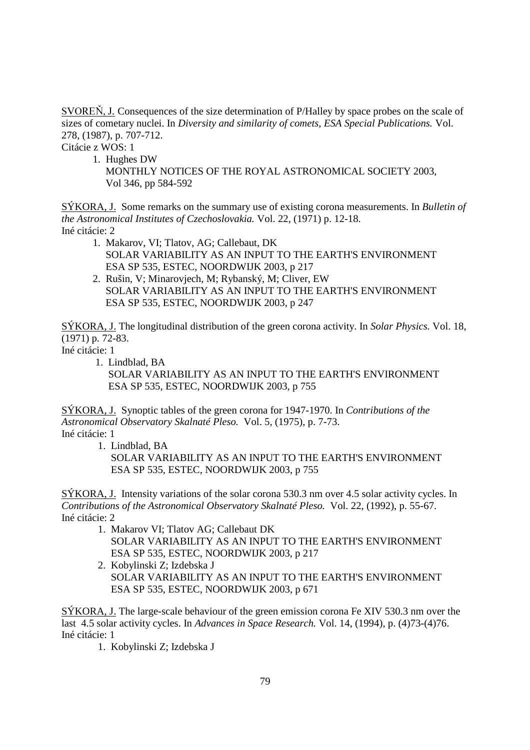SVOREŇ, J. Consequences of the size determination of P/Halley by space probes on the scale of sizes of cometary nuclei. In *Diversity and similarity of comets, ESA Special Publications.* Vol. 278, (1987), p. 707-712.

Citácie z WOS: 1

1. Hughes DW

SÝKORA, J. Some remarks on the summary use of existing corona measurements. In *Bulletin of the Astronomical Institutes of Czechoslovakia.* Vol. 22, (1971) p. 12-18. Iné citácie: 2

- 1. Makarov, VI; Tlatov, AG; Callebaut, DK SOLAR VARIABILITY AS AN INPUT TO THE EARTH'S ENVIRONMENT ESA SP 535, ESTEC, NOORDWIJK 2003, p 217
- 2. Rušin, V; Minarovjech, M; Rybanský, M; Cliver, EW SOLAR VARIABILITY AS AN INPUT TO THE EARTH'S ENVIRONMENT ESA SP 535, ESTEC, NOORDWIJK 2003, p 247

SÝKORA, J. The longitudinal distribution of the green corona activity. In *Solar Physics.* Vol. 18, (1971) p. 72-83.

Iné citácie: 1

1. Lindblad, BA

 SOLAR VARIABILITY AS AN INPUT TO THE EARTH'S ENVIRONMENT ESA SP 535, ESTEC, NOORDWIJK 2003, p 755

SÝKORA, J. Synoptic tables of the green corona for 1947-1970. In *Contributions of the Astronomical Observatory Skalnaté Pleso.* Vol. 5, (1975), p. 7-73. Iné citácie: 1

1. Lindblad, BA

 SOLAR VARIABILITY AS AN INPUT TO THE EARTH'S ENVIRONMENT ESA SP 535, ESTEC, NOORDWIJK 2003, p 755

SÝKORA, J. Intensity variations of the solar corona 530.3 nm over 4.5 solar activity cycles. In *Contributions of the Astronomical Observatory Skalnaté Pleso.* Vol. 22, (1992), p. 55-67. Iné citácie: 2

- 1. Makarov VI; Tlatov AG; Callebaut DK SOLAR VARIABILITY AS AN INPUT TO THE EARTH'S ENVIRONMENT ESA SP 535, ESTEC, NOORDWIJK 2003, p 217
- 2. Kobylinski Z; Izdebska J SOLAR VARIABILITY AS AN INPUT TO THE EARTH'S ENVIRONMENT ESA SP 535, ESTEC, NOORDWIJK 2003, p 671

SÝKORA, J. The large-scale behaviour of the green emission corona Fe XIV 530.3 nm over the last 4.5 solar activity cycles. In *Advances in Space Research.* Vol. 14, (1994), p. (4)73-(4)76. Iné citácie: 1

1. Kobylinski Z; Izdebska J

MONTHLY NOTICES OF THE ROYAL ASTRONOMICAL SOCIETY 2003, Vol 346, pp 584-592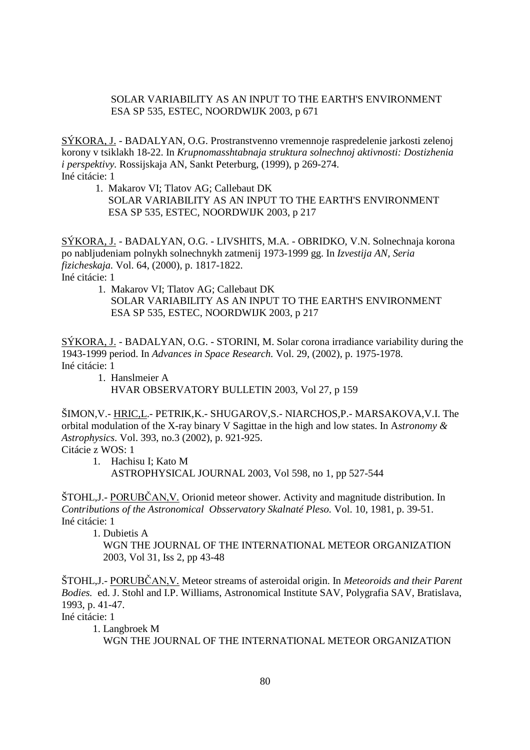# SOLAR VARIABILITY AS AN INPUT TO THE EARTH'S ENVIRONMENT ESA SP 535, ESTEC, NOORDWIJK 2003, p 671

SÝKORA, J. - BADALYAN, O.G. Prostranstvenno vremennoje raspredelenie jarkosti zelenoj korony v tsiklakh 18-22. In *Krupnomasshtabnaja struktura solnechnoj aktivnosti: Dostizhenia i perspektivy.* Rossijskaja AN, Sankt Peterburg, (1999), p 269-274. Iné citácie: 1

 1. Makarov VI; Tlatov AG; Callebaut DK SOLAR VARIABILITY AS AN INPUT TO THE EARTH'S ENVIRONMENT ESA SP 535, ESTEC, NOORDWIJK 2003, p 217

SÝKORA, J. - BADALYAN, O.G. - LIVSHITS, M.A. - OBRIDKO, V.N. Solnechnaja korona po nabljudeniam polnykh solnechnykh zatmenij 1973-1999 gg. In *Izvestija AN, Seria fizicheskaja.* Vol. 64, (2000), p. 1817-1822. Iné citácie: 1

 1. Makarov VI; Tlatov AG; Callebaut DK SOLAR VARIABILITY AS AN INPUT TO THE EARTH'S ENVIRONMENT ESA SP 535, ESTEC, NOORDWIJK 2003, p 217

SÝKORA, J. - BADALYAN, O.G. - STORINI, M. Solar corona irradiance variability during the 1943-1999 period. In *Advances in Space Research.* Vol. 29, (2002), p. 1975-1978. Iné citácie: 1

 1. Hanslmeier A HVAR OBSERVATORY BULLETIN 2003, Vol 27, p 159

ŠIMON,V.- HRIC,L.- PETRIK,K.- SHUGAROV,S.- NIARCHOS,P.- MARSAKOVA,V.I. The orbital modulation of the X-ray binary V Sagittae in the high and low states. In A*stronomy & Astrophysics.* Vol. 393, no.3 (2002), p. 921-925.

Citácie z WOS: 1

 1. Hachisu I; Kato M ASTROPHYSICAL JOURNAL 2003, Vol 598, no 1, pp 527-544

ŠTOHL,J. - PORUBČAN,V. Orionid meteor shower. Activity and magnitude distribution. In *Contributions of the Astronomical Obsservatory Skalnaté Pleso.* Vol. 10, 1981, p. 39-51. Iné citácie: 1

1. Dubietis A

 WGN THE JOURNAL OF THE INTERNATIONAL METEOR ORGANIZATION 2003, Vol 31, Iss 2, pp 43-48

ŠTOHL,J.- PORUBČAN,V. Meteor streams of asteroidal origin. In *Meteoroids and their Parent Bodies.* ed. J. Stohl and I.P. Williams, Astronomical Institute SAV, Polygrafia SAV, Bratislava, 1993, p. 41-47.

Iné citácie: 1

1. Langbroek M

WGN THE JOURNAL OF THE INTERNATIONAL METEOR ORGANIZATION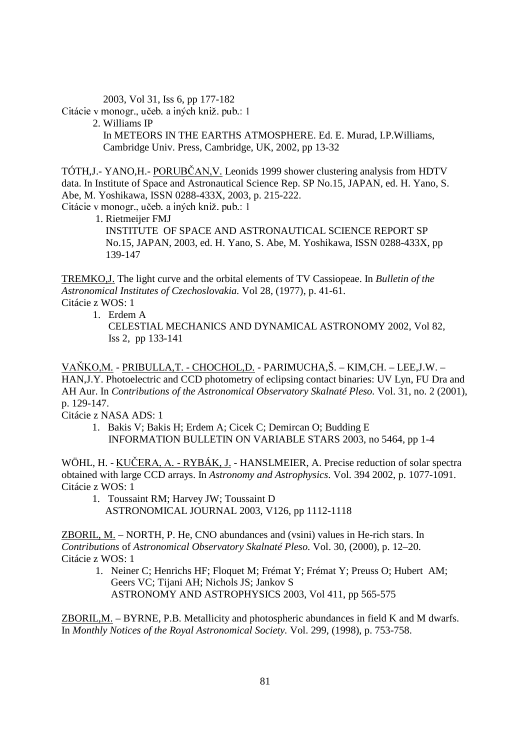2003, Vol 31, Iss 6, pp 177-182

Citácie v monogr., učeb. a iných kniž. pub.: 1

2. Williams IP

 In METEORS IN THE EARTHS ATMOSPHERE. Ed. E. Murad, I.P.Williams, Cambridge Univ. Press, Cambridge, UK, 2002, pp 13-32

TÓTH, J.- YANO, H.- PORUBČAN, V. Leonids 1999 shower clustering analysis from HDTV data. In Institute of Space and Astronautical Science Rep. SP No.15, JAPAN, ed. H. Yano, S. Abe, M. Yoshikawa, ISSN 0288-433X, 2003, p. 215-222.

Citácie v monogr., učeb. a iných kniž. pub.: 1

 1. Rietmeijer FMJ INSTITUTE OF SPACE AND ASTRONAUTICAL SCIENCE REPORT SP No.15, JAPAN, 2003, ed. H. Yano, S. Abe, M. Yoshikawa, ISSN 0288-433X, pp 139-147

TREMKO,J. The light curve and the orbital elements of TV Cassiopeae. In *Bulletin of the Astronomical Institutes of Czechoslovakia.* Vol 28, (1977), p. 41-61. Citácie z WOS: 1

1. Erdem A

CELESTIAL MECHANICS AND DYNAMICAL ASTRONOMY 2002, Vol 82, Iss 2, pp 133-141

VAŇKOM. - PRIBULLA,T. - CHOCHOL,D. - PARIMUCHA,Š. – KIM,CH. – LEE,J.W. – HAN,J.Y. Photoelectric and CCD photometry of eclipsing contact binaries: UV Lyn, FU Dra and AH Aur. In *Contributions of the Astronomical Observatory Skalnaté Pleso.* Vol. 31, no. 2 (2001), p. 129-147.

Citácie z NASA ADS: 1

1. Bakis V; Bakis H; Erdem A; Cicek C; Demircan O; Budding E INFORMATION BULLETIN ON VARIABLE STARS 2003, no 5464, pp 1-4

WÖHL, H. - KUČERA, A. - RYBÁK, J. - HANSLMEIER, A. Precise reduction of solar spectra obtained with large CCD arrays. In *Astronomy and Astrophysics*. Vol. 394 2002, p. 1077-1091. Citácie z WOS: 1

1. Toussaint RM; Harvey JW; Toussaint D ASTRONOMICAL JOURNAL 2003, V126, pp 1112-1118

ZBORIL, M. – NORTH, P. He, CNO abundances and (vsini) values in He-rich stars. In *Contributions* of *Astronomical Observatory Skalnaté Pleso.* Vol. 30, (2000), p. 12–20. Citácie z WOS: 1

1. Neiner C; Henrichs HF; Floquet M; Frémat Y; Frémat Y; Preuss O; Hubert AM; Geers VC; Tijani AH; Nichols JS; Jankov S ASTRONOMY AND ASTROPHYSICS 2003, Vol 411, pp 565-575

ZBORIL,M. – BYRNE, P.B. Metallicity and photospheric abundances in field K and M dwarfs. In *Monthly Notices of the Royal Astronomical Society.* Vol. 299, (1998), p. 753-758.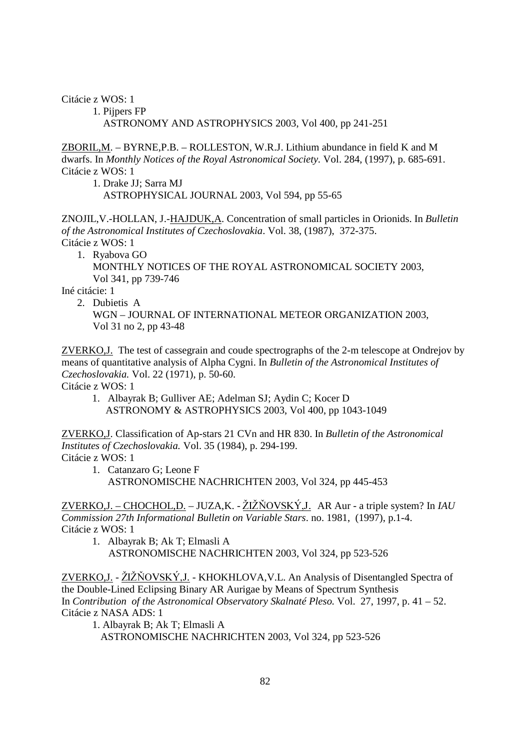Citácie z WOS: 1

 1. Pijpers FP ASTRONOMY AND ASTROPHYSICS 2003, Vol 400, pp 241-251

ZBORIL,M. – BYRNE,P.B. – ROLLESTON, W.R.J. Lithium abundance in field K and M dwarfs. In *Monthly Notices of the Royal Astronomical Society.* Vol. 284, (1997), p. 685-691. Citácie z WOS: 1

1. Drake JJ; Sarra MJ

ASTROPHYSICAL JOURNAL 2003, Vol 594, pp 55-65

ZNOJIL,V.-HOLLAN, J.-HAJDUK,A. Concentration of small particles in Orionids. In *Bulletin of the Astronomical Institutes of Czechoslovakia*. Vol. 38, (1987), 372-375. Citácie z WOS: 1

1. Ryabova GO

 MONTHLY NOTICES OF THE ROYAL ASTRONOMICAL SOCIETY 2003, Vol 341, pp 739-746

Iné citácie: 1

2. Dubietis A

 WGN – JOURNAL OF INTERNATIONAL METEOR ORGANIZATION 2003, Vol 31 no 2, pp 43-48

ZVERKO,J. The test of cassegrain and coude spectrographs of the 2-m telescope at Ondrejov by means of quantitative analysis of Alpha Cygni. In *Bulletin of the Astronomical Institutes of Czechoslovakia.* Vol. 22 (1971), p. 50-60. Citácie z WOS: 1

1. Albayrak B; Gulliver AE; Adelman SJ; Aydin C; Kocer D ASTRONOMY & ASTROPHYSICS 2003, Vol 400, pp 1043-1049

ZVERKO,J. Classification of Ap-stars 21 CVn and HR 830. In *Bulletin of the Astronomical Institutes of Czechoslovakia.* Vol. 35 (1984), p. 294-199. Citácie z WOS: 1

1. Catanzaro G; Leone F ASTRONOMISCHE NACHRICHTEN 2003, Vol 324, pp 445-453

ZVERKO,J. – CHOCHOL,D. – JUZA,K. - ŽIŽŇOVSKÝ,J. AR Aur - a triple system? In *IAU Commission 27th Informational Bulletin on Variable Stars*. no. 1981, (1997), p.1-4. Citácie z WOS: 1

1. Albayrak B; Ak T; Elmasli A ASTRONOMISCHE NACHRICHTEN 2003, Vol 324, pp 523-526

ZVERKO,J. - ŽIŽŇOVSKÝ,J. - KHOKHLOVA,V.L. An Analysis of Disentangled Spectra of the Double-Lined Eclipsing Binary AR Aurigae by Means of Spectrum Synthesis In *Contribution of the Astronomical Observatory Skalnaté Pleso.* Vol. 27, 1997, p. 41 – 52. Citácie z NASA ADS: 1

1. Albayrak B; Ak T; Elmasli A

ASTRONOMISCHE NACHRICHTEN 2003, Vol 324, pp 523-526